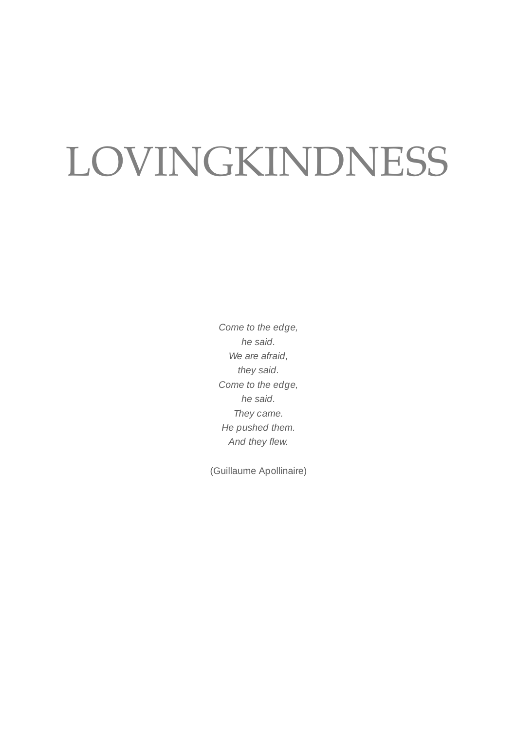# LOVINGKINDNESS

*Come to the edge, he said. We are afraid, they said. Come to the edge, he said. They came. He pushed them. And they flew.*

(Guillaume Apollinaire)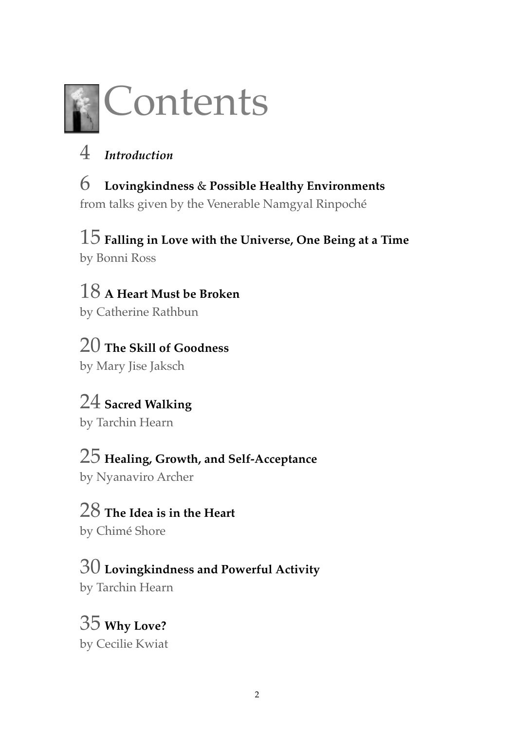

#### 4 *Introduction*

6 **Lovingkindness** & **Possible Healthy Environments** from talks given by the Venerable Namgyal Rinpoché

15 **Falling in Love with the Universe, One Being at a Time** by Bonni Ross

18 **A Heart Must be Broken** by Catherine Rathbun

20 **The Skill of Goodness** by Mary Jise Jaksch

24 **Sacred Walking** by Tarchin Hearn

### 25 **Healing, Growth, and Self-Acceptance**

by Nyanaviro Archer

## 28 **The Idea is in the Heart**

by Chimé Shore

#### 30 **Lovingkindness and Powerful Activity**

by Tarchin Hearn

#### 35 **Why Love?** by Cecilie Kwiat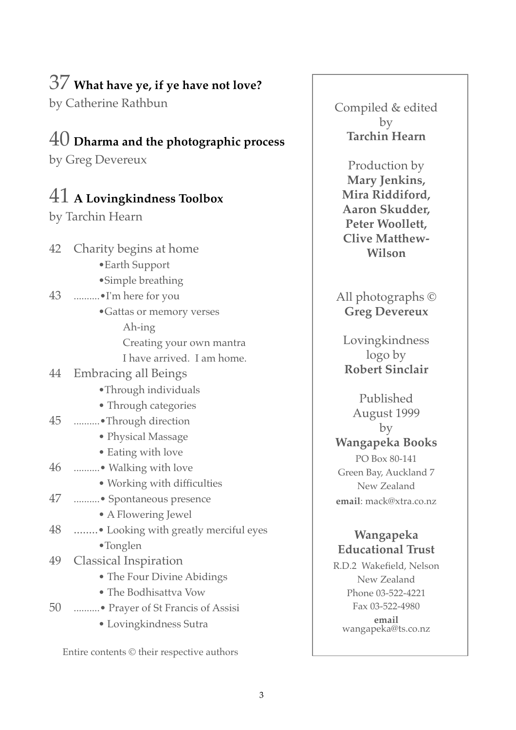#### 37 **What have ye, if ye have not love?**

by Catherine Rathbun

#### 40 **Dharma and the photographic process**

by Greg Devereux

#### 41 **A Lovingkindness Toolbox**

by Tarchin Hearn

- 42 Charity begins at home
	- •Earth Support
	- •Simple breathing
- 43 ..........•I'm here for you
	- •Gattas or memory verses Ah-ing Creating your own mantra I have arrived. I am home.
- 44 Embracing all Beings
	- •Through individuals
	- Through categories
- 45 ..........•Through direction
	- Physical Massage
	- Eating with love
- 46 ..........• Walking with love
	- Working with difficulties
- 47 ..........• Spontaneous presence
	- A Flowering Jewel
- 48 ........• Looking with greatly merciful eyes

#### •Tonglen

- 49 Classical Inspiration
	- The Four Divine Abidings
	- The Bodhisattva Vow
- 50 ..........• Prayer of St Francis of Assisi
	- Lovingkindness Sutra

Entire contents © their respective authors

Compiled & edited by **Tarchin Hearn**

Production by **Mary Jenkins, Mira Riddiford, Aaron Skudder, Peter Woollett, Clive Matthew-Wilson**

All photographs **© Greg Devereux**

Lovingkindness logo by **Robert Sinclair**

Published August 1999 by **Wangapeka Books** PO Box 80-141 Green Bay, Auckland 7 New Zealand **email**: mack@xtra.co.nz

#### **Wangapeka Educational Trust**

R.D.2 Wakefield, Nelson New Zealand Phone 03-522-4221 Fax 03-522-4980

**email** wangapeka@ts.co.nz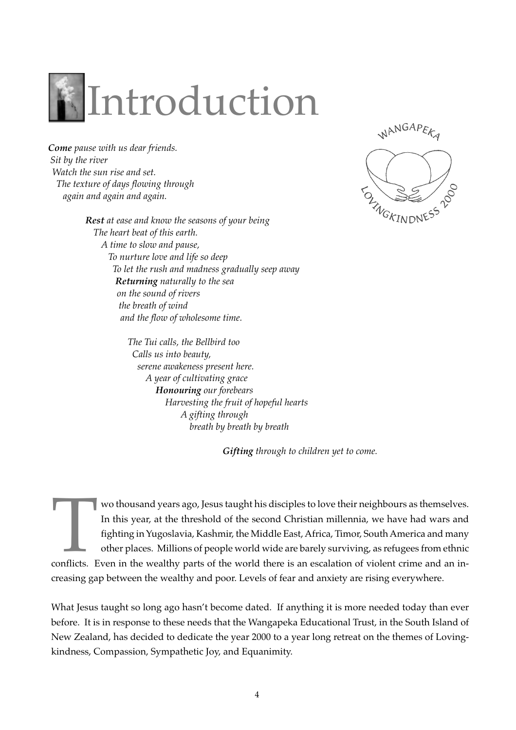

*Come pause with us dear friends. Sit by the river Watch the sun rise and set. The texture of days flowing through again and again and again.*

> *Rest at ease and know the seasons of your being The heart beat of this earth. A time to slow and pause, To nurture love and life so deep To let the rush and madness gradually seep away Returning naturally to the sea on the sound of rivers the breath of wind and the flow of wholesome time.*

WANGAPERA **WGKINDNESS** 

*The Tui calls, the Bellbird too Calls us into beauty, serene awakeness present here. A year of cultivating grace Honouring our forebears Harvesting the fruit of hopeful hearts A gifting through breath by breath by breath*

*Gifting through to children yet to come.*

In this year, at the threshold of the second Christian millennia, we have had wars and fighting in Yugoslavia, Kashmir, the Middle East, Africa, Timor, South America and many other places. Millions of people world wide are In this year, at the threshold of the second Christian millennia, we have had wars and fighting in Yugoslavia, Kashmir, the Middle East, Africa, Timor, South America and many other places. Millions of people world wide are barely surviving, as refugees from ethnic creasing gap between the wealthy and poor. Levels of fear and anxiety are rising everywhere.

What Jesus taught so long ago hasn't become dated. If anything it is more needed today than ever before. It is in response to these needs that the Wangapeka Educational Trust, in the South Island of New Zealand, has decided to dedicate the year 2000 to a year long retreat on the themes of Lovingkindness, Compassion, Sympathetic Joy, and Equanimity.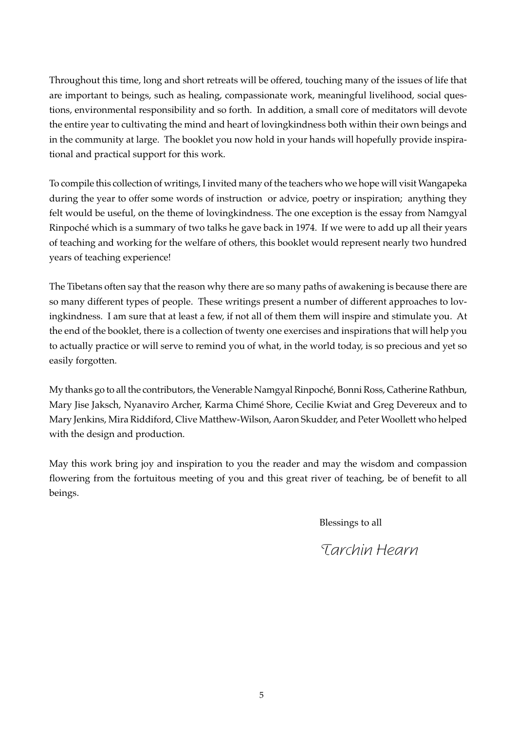Throughout this time, long and short retreats will be offered, touching many of the issues of life that are important to beings, such as healing, compassionate work, meaningful livelihood, social questions, environmental responsibility and so forth. In addition, a small core of meditators will devote the entire year to cultivating the mind and heart of lovingkindness both within their own beings and in the community at large. The booklet you now hold in your hands will hopefully provide inspirational and practical support for this work.

To compile this collection of writings, I invited many of the teachers who we hope will visit Wangapeka during the year to offer some words of instruction or advice, poetry or inspiration; anything they felt would be useful, on the theme of lovingkindness. The one exception is the essay from Namgyal Rinpoché which is a summary of two talks he gave back in 1974. If we were to add up all their years of teaching and working for the welfare of others, this booklet would represent nearly two hundred years of teaching experience!

The Tibetans often say that the reason why there are so many paths of awakening is because there are so many different types of people. These writings present a number of different approaches to lovingkindness. I am sure that at least a few, if not all of them them will inspire and stimulate you. At the end of the booklet, there is a collection of twenty one exercises and inspirations that will help you to actually practice or will serve to remind you of what, in the world today, is so precious and yet so easily forgotten.

My thanks go to all the contributors, the Venerable Namgyal Rinpoché, Bonni Ross, Catherine Rathbun, Mary Jise Jaksch, Nyanaviro Archer, Karma Chimé Shore, Cecilie Kwiat and Greg Devereux and to Mary Jenkins, Mira Riddiford, Clive Matthew-Wilson, Aaron Skudder, and Peter Woollett who helped with the design and production.

May this work bring joy and inspiration to you the reader and may the wisdom and compassion flowering from the fortuitous meeting of you and this great river of teaching, be of benefit to all beings.

Blessings to all

Tarchin Hearn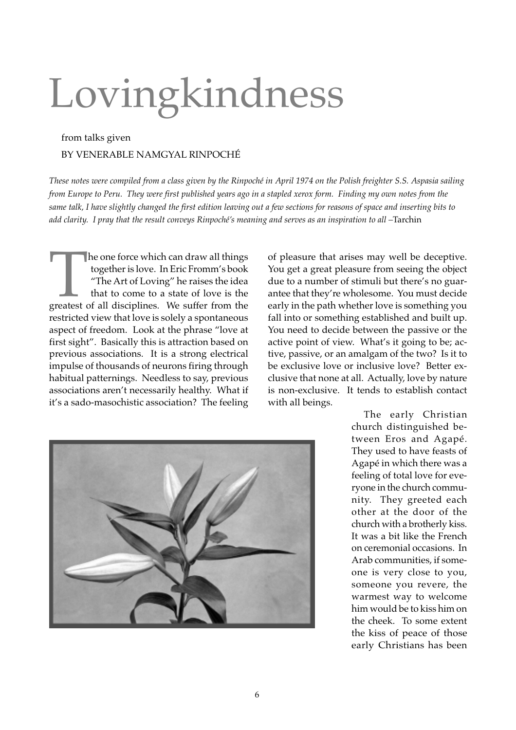# Lovingkindness

#### from talks given BY VENERABLE NAMGYAL RINPOCHÉ

*These notes were compiled from a class given by the Rinpoché in April 1974 on the Polish freighter S.S. Aspasia sailing from Europe to Peru. They were first published years ago in a stapled xerox form. Finding my own notes from the same talk, I have slightly changed the first edition leaving out a few sections for reasons of space and inserting bits to add clarity. I pray that the result conveys Rinpoché's meaning and serves as an inspiration to all –*Tarchin

The one force which can draw all things<br>together is love. In Eric Fromm's book<br>"The Art of Loving" he raises the idea<br>that to come to a state of love is the<br>greatest of all disciplines. We suffer from the together is love. In Eric Fromm's book "The Art of Loving" he raises the idea that to come to a state of love is the restricted view that love is solely a spontaneous aspect of freedom. Look at the phrase "love at first sight". Basically this is attraction based on previous associations. It is a strong electrical impulse of thousands of neurons firing through habitual patternings. Needless to say, previous associations aren't necessarily healthy. What if it's a sado-masochistic association? The feeling



of pleasure that arises may well be deceptive. You get a great pleasure from seeing the object due to a number of stimuli but there's no guarantee that they're wholesome. You must decide early in the path whether love is something you fall into or something established and built up. You need to decide between the passive or the active point of view. What's it going to be; active, passive, or an amalgam of the two? Is it to be exclusive love or inclusive love? Better exclusive that none at all. Actually, love by nature is non-exclusive. It tends to establish contact with all beings.

> The early Christian church distinguished between Eros and Agapé. They used to have feasts of Agapé in which there was a feeling of total love for everyone in the church community. They greeted each other at the door of the church with a brotherly kiss. It was a bit like the French on ceremonial occasions. In Arab communities, if someone is very close to you, someone you revere, the warmest way to welcome him would be to kiss him on the cheek. To some extent the kiss of peace of those early Christians has been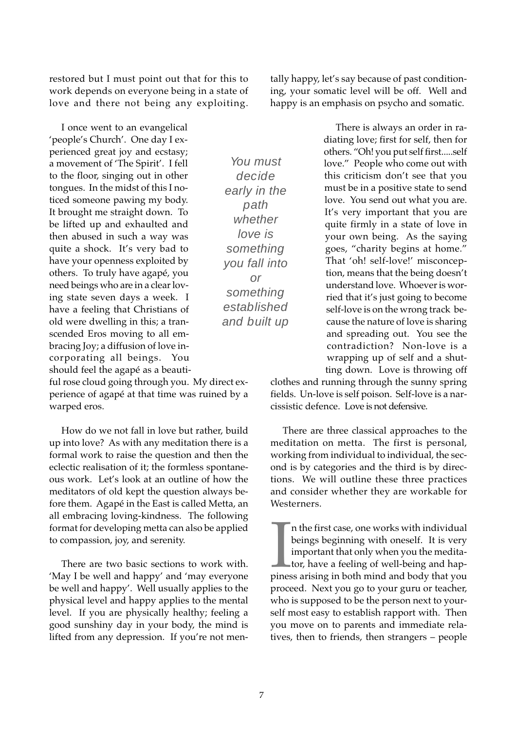restored but I must point out that for this to work depends on everyone being in a state of love and there not being any exploiting.

I once went to an evangelical 'people's Church'. One day I experienced great joy and ecstasy; a movement of 'The Spirit'. I fell to the floor, singing out in other tongues. In the midst of this I noticed someone pawing my body. It brought me straight down. To be lifted up and exhaulted and then abused in such a way was quite a shock. It's very bad to have your openness exploited by others. To truly have agapé, you need beings who are in a clear loving state seven days a week. I have a feeling that Christians of old were dwelling in this; a transcended Eros moving to all embracing Joy; a diffusion of love incorporating all beings. You should feel the agapé as a beauti-

ful rose cloud going through you. My direct experience of agapé at that time was ruined by a warped eros.

How do we not fall in love but rather, build up into love? As with any meditation there is a formal work to raise the question and then the eclectic realisation of it; the formless spontaneous work. Let's look at an outline of how the meditators of old kept the question always before them. Agapé in the East is called Metta, an all embracing loving-kindness. The following format for developing metta can also be applied to compassion, joy, and serenity.

There are two basic sections to work with. 'May I be well and happy' and 'may everyone be well and happy'. Well usually applies to the physical level and happy applies to the mental level. If you are physically healthy; feeling a good sunshiny day in your body, the mind is lifted from any depression. If you're not mentally happy, let's say because of past conditioning, your somatic level will be off. Well and happy is an emphasis on psycho and somatic.

> There is always an order in radiating love; first for self, then for others. "Oh! you put self first.....self love." People who come out with this criticism don't see that you must be in a positive state to send love. You send out what you are. It's very important that you are quite firmly in a state of love in your own being. As the saying goes, "charity begins at home." That 'oh! self-love!' misconception, means that the being doesn't understand love. Whoever is worried that it's just going to become self-love is on the wrong track because the nature of love is sharing and spreading out. You see the contradiction? Non-love is a wrapping up of self and a shutting down. Love is throwing off

clothes and running through the sunny spring fields. Un-love is self poison. Self-love is a narcissistic defence. Love is not defensive.

There are three classical approaches to the meditation on metta. The first is personal, working from individual to individual, the second is by categories and the third is by directions. We will outline these three practices and consider whether they are workable for Westerners.

In the first case, one works with individual beings beginning with oneself. It is very important that only when you the medita-<br>tor, have a feeling of well-being and happiness arising in both mind and body that you n the first case, one works with individual beings beginning with oneself. It is very important that only when you the meditator, have a feeling of well-being and happroceed. Next you go to your guru or teacher, who is supposed to be the person next to yourself most easy to establish rapport with. Then you move on to parents and immediate relatives, then to friends, then strangers – people

*You must decide early in the path whether love is something you fall into or something established and built up*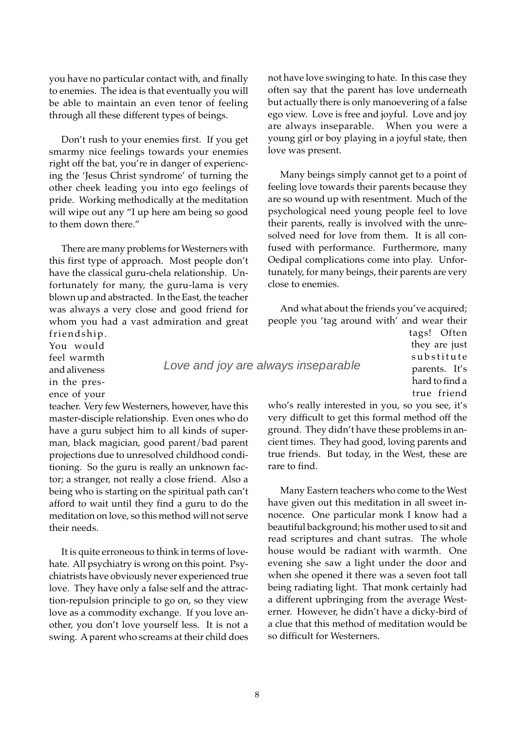you have no particular contact with, and finally to enemies. The idea is that eventually you will be able to maintain an even tenor of feeling through all these different types of beings.

Don't rush to your enemies first. If you get smarmy nice feelings towards your enemies right off the bat, you're in danger of experiencing the 'Jesus Christ syndrome' of turning the other cheek leading you into ego feelings of pride. Working methodically at the meditation will wipe out any "I up here am being so good to them down there."

There are many problems for Westerners with this first type of approach. Most people don't have the classical guru-chela relationship. Unfortunately for many, the guru-lama is very blown up and abstracted. In the East, the teacher was always a very close and good friend for whom you had a vast admiration and great friendship.

You would feel warmth and aliveness in the presence of your

teacher. Very few Westerners, however, have this master-disciple relationship. Even ones who do have a guru subject him to all kinds of superman, black magician, good parent/bad parent projections due to unresolved childhood conditioning. So the guru is really an unknown factor; a stranger, not really a close friend. Also a being who is starting on the spiritual path can't afford to wait until they find a guru to do the meditation on love, so this method will not serve their needs.

It is quite erroneous to think in terms of lovehate. All psychiatry is wrong on this point. Psychiatrists have obviously never experienced true love. They have only a false self and the attraction-repulsion principle to go on, so they view love as a commodity exchange. If you love another, you don't love yourself less. It is not a swing. A parent who screams at their child does not have love swinging to hate. In this case they often say that the parent has love underneath but actually there is only manoevering of a false ego view. Love is free and joyful. Love and joy are always inseparable. When you were a young girl or boy playing in a joyful state, then love was present.

Many beings simply cannot get to a point of feeling love towards their parents because they are so wound up with resentment. Much of the psychological need young people feel to love their parents, really is involved with the unresolved need for love from them. It is all confused with performance. Furthermore, many Oedipal complications come into play. Unfortunately, for many beings, their parents are very close to enemies.

And what about the friends you've acquired; people you 'tag around with' and wear their

tags! Often they are just substitute parents. It's hard to find a true friend

who's really interested in you, so you see, it's very difficult to get this formal method off the ground. They didn't have these problems in ancient times. They had good, loving parents and true friends. But today, in the West, these are rare to find.

Many Eastern teachers who come to the West have given out this meditation in all sweet innocence. One particular monk I know had a beautiful background; his mother used to sit and read scriptures and chant sutras. The whole house would be radiant with warmth. One evening she saw a light under the door and when she opened it there was a seven foot tall being radiating light. That monk certainly had a different upbringing from the average Westerner. However, he didn't have a dicky-bird of a clue that this method of meditation would be so difficult for Westerners.

*Love and joy are always inseparable*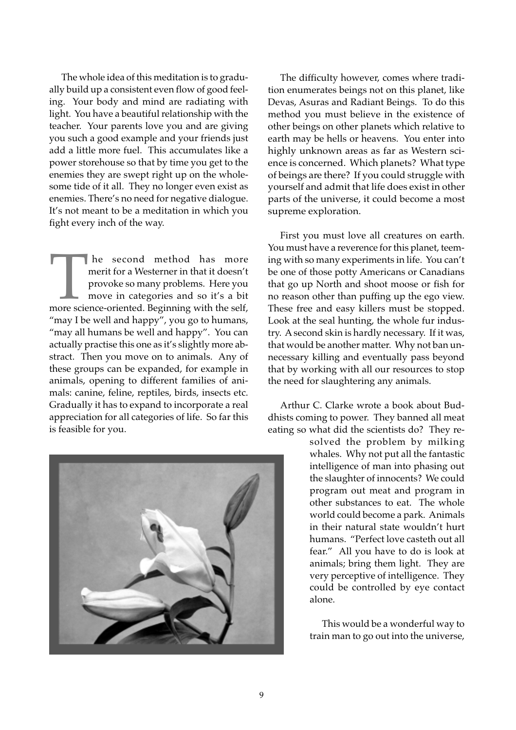The whole idea of this meditation is to gradually build up a consistent even flow of good feeling. Your body and mind are radiating with light. You have a beautiful relationship with the teacher. Your parents love you and are giving you such a good example and your friends just add a little more fuel. This accumulates like a power storehouse so that by time you get to the enemies they are swept right up on the wholesome tide of it all. They no longer even exist as enemies. There's no need for negative dialogue. It's not meant to be a meditation in which you fight every inch of the way.

The second method has more<br>merit for a Westerner in that it doesn't<br>provoke so many problems. Here you<br>move in categories and so it's a bit<br>more science-oriented. Beginning with the self, merit for a Westerner in that it doesn't provoke so many problems. Here you move in categories and so it's a bit "may I be well and happy", you go to humans, "may all humans be well and happy". You can actually practise this one as it's slightly more abstract. Then you move on to animals. Any of these groups can be expanded, for example in animals, opening to different families of animals: canine, feline, reptiles, birds, insects etc. Gradually it has to expand to incorporate a real appreciation for all categories of life. So far this is feasible for you.



The difficulty however, comes where tradition enumerates beings not on this planet, like Devas, Asuras and Radiant Beings. To do this method you must believe in the existence of other beings on other planets which relative to earth may be hells or heavens. You enter into highly unknown areas as far as Western science is concerned. Which planets? What type of beings are there? If you could struggle with yourself and admit that life does exist in other parts of the universe, it could become a most supreme exploration.

First you must love all creatures on earth. You must have a reverence for this planet, teeming with so many experiments in life. You can't be one of those potty Americans or Canadians that go up North and shoot moose or fish for no reason other than puffing up the ego view. These free and easy killers must be stopped. Look at the seal hunting, the whole fur industry. A second skin is hardly necessary. If it was, that would be another matter. Why not ban unnecessary killing and eventually pass beyond that by working with all our resources to stop the need for slaughtering any animals.

Arthur C. Clarke wrote a book about Buddhists coming to power. They banned all meat eating so what did the scientists do? They re-

solved the problem by milking whales. Why not put all the fantastic intelligence of man into phasing out the slaughter of innocents? We could program out meat and program in other substances to eat. The whole world could become a park. Animals in their natural state wouldn't hurt humans. "Perfect love casteth out all fear." All you have to do is look at animals; bring them light. They are very perceptive of intelligence. They could be controlled by eye contact alone.

This would be a wonderful way to train man to go out into the universe,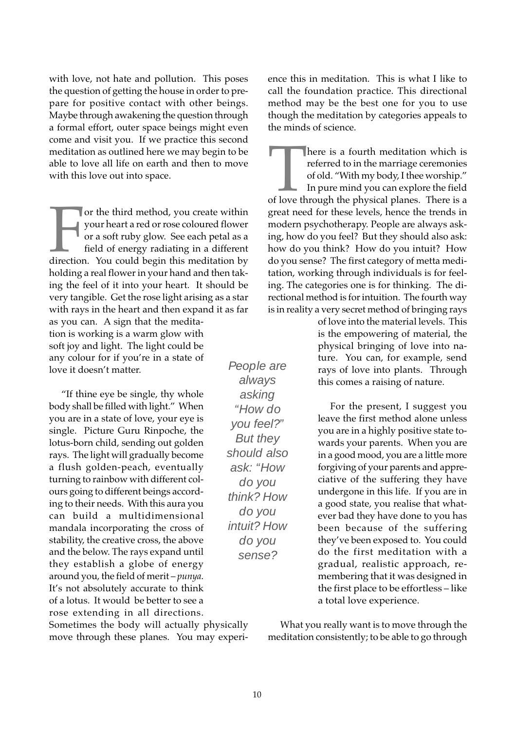with love, not hate and pollution. This poses the question of getting the house in order to prepare for positive contact with other beings. Maybe through awakening the question through a formal effort, outer space beings might even come and visit you. If we practice this second meditation as outlined here we may begin to be able to love all life on earth and then to move with this love out into space.

For the third method, you create within<br>your heart a red or rose coloured flower<br>or a soft ruby glow. See each petal as a<br>field of energy radiating in a different<br>direction. You could begin this meditation by or the third method, you create within your heart a red or rose coloured flower or a soft ruby glow. See each petal as a field of energy radiating in a different holding a real flower in your hand and then taking the feel of it into your heart. It should be very tangible. Get the rose light arising as a star with rays in the heart and then expand it as far as you can. A sign that the meditation is working is a warm glow with

soft joy and light. The light could be any colour for if you're in a state of love it doesn't matter. "If thine eye be single, thy whole

body shall be filled with light." When you are in a state of love, your eye is single. Picture Guru Rinpoche, the lotus-born child, sending out golden rays. The light will gradually become a flush golden-peach, eventually turning to rainbow with different colours going to different beings according to their needs. With this aura you can build a multidimensional mandala incorporating the cross of stability, the creative cross, the above and the below. The rays expand until they establish a globe of energy around you, the field of merit – *punya*. It's not absolutely accurate to think of a lotus. It would be better to see a rose extending in all directions.

Sometimes the body will actually physically move through these planes. You may experience this in meditation. This is what I like to call the foundation practice. This directional method may be the best one for you to use though the meditation by categories appeals to the minds of science.

**There is a fourth meditation which is**<br>referred to in the marriage ceremonies<br>of old. "With my body, I thee worship."<br>In pure mind you can explore the field<br>of love through the physical planes. There is a referred to in the marriage ceremonies of old. "With my body, I thee worship." In pure mind you can explore the field great need for these levels, hence the trends in modern psychotherapy. People are always asking, how do you feel? But they should also ask: how do you think? How do you intuit? How do you sense? The first category of metta meditation, working through individuals is for feeling. The categories one is for thinking. The directional method is for intuition. The fourth way is in reality a very secret method of bringing rays

> of love into the material levels. This is the empowering of material, the physical bringing of love into nature. You can, for example, send rays of love into plants. Through this comes a raising of nature.

> For the present, I suggest you leave the first method alone unless you are in a highly positive state towards your parents. When you are in a good mood, you are a little more forgiving of your parents and appreciative of the suffering they have undergone in this life. If you are in a good state, you realise that whatever bad they have done to you has been because of the suffering they've been exposed to. You could do the first meditation with a gradual, realistic approach, remembering that it was designed in the first place to be effortless – like a total love experience.

What you really want is to move through the meditation consistently; to be able to go through

*People are always asking "How do you feel?" But they should also ask: "How do you think? How do you intuit? How do you sense?*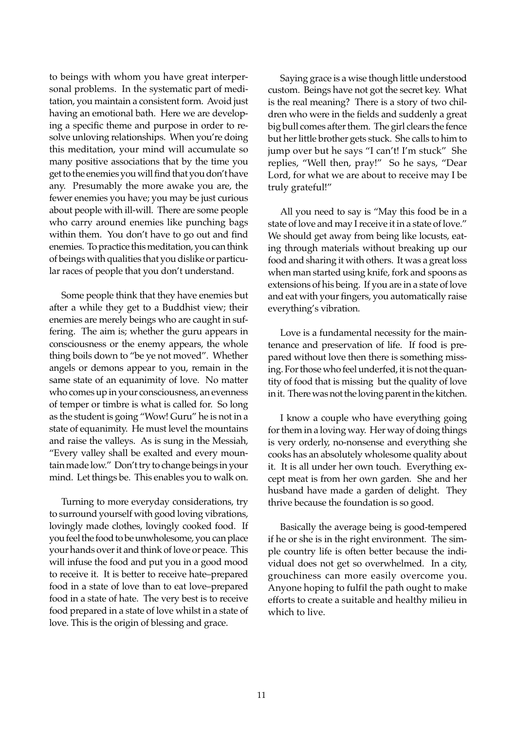to beings with whom you have great interpersonal problems. In the systematic part of meditation, you maintain a consistent form. Avoid just having an emotional bath. Here we are developing a specific theme and purpose in order to resolve unloving relationships. When you're doing this meditation, your mind will accumulate so many positive associations that by the time you get to the enemies you will find that you don't have any. Presumably the more awake you are, the fewer enemies you have; you may be just curious about people with ill-will. There are some people who carry around enemies like punching bags within them. You don't have to go out and find enemies. To practice this meditation, you can think of beings with qualities that you dislike or particular races of people that you don't understand.

Some people think that they have enemies but after a while they get to a Buddhist view; their enemies are merely beings who are caught in suffering. The aim is; whether the guru appears in consciousness or the enemy appears, the whole thing boils down to "be ye not moved". Whether angels or demons appear to you, remain in the same state of an equanimity of love. No matter who comes up in your consciousness, an evenness of temper or timbre is what is called for. So long as the student is going "Wow! Guru" he is not in a state of equanimity. He must level the mountains and raise the valleys. As is sung in the Messiah, "Every valley shall be exalted and every mountain made low." Don't try to change beings in your mind. Let things be. This enables you to walk on.

Turning to more everyday considerations, try to surround yourself with good loving vibrations, lovingly made clothes, lovingly cooked food. If you feel the food to be unwholesome, you can place your hands over it and think of love or peace. This will infuse the food and put you in a good mood to receive it. It is better to receive hate–prepared food in a state of love than to eat love–prepared food in a state of hate. The very best is to receive food prepared in a state of love whilst in a state of love. This is the origin of blessing and grace.

Saying grace is a wise though little understood custom. Beings have not got the secret key. What is the real meaning? There is a story of two children who were in the fields and suddenly a great big bull comes after them. The girl clears the fence but her little brother gets stuck. She calls to him to jump over but he says "I can't! I'm stuck" She replies, "Well then, pray!" So he says, "Dear Lord, for what we are about to receive may I be truly grateful!"

All you need to say is "May this food be in a state of love and may I receive it in a state of love." We should get away from being like locusts, eating through materials without breaking up our food and sharing it with others. It was a great loss when man started using knife, fork and spoons as extensions of his being. If you are in a state of love and eat with your fingers, you automatically raise everything's vibration.

Love is a fundamental necessity for the maintenance and preservation of life. If food is prepared without love then there is something missing. For those who feel underfed, it is not the quantity of food that is missing but the quality of love in it. There was not the loving parent in the kitchen.

I know a couple who have everything going for them in a loving way. Her way of doing things is very orderly, no-nonsense and everything she cooks has an absolutely wholesome quality about it. It is all under her own touch. Everything except meat is from her own garden. She and her husband have made a garden of delight. They thrive because the foundation is so good.

Basically the average being is good-tempered if he or she is in the right environment. The simple country life is often better because the individual does not get so overwhelmed. In a city, grouchiness can more easily overcome you. Anyone hoping to fulfil the path ought to make efforts to create a suitable and healthy milieu in which to live.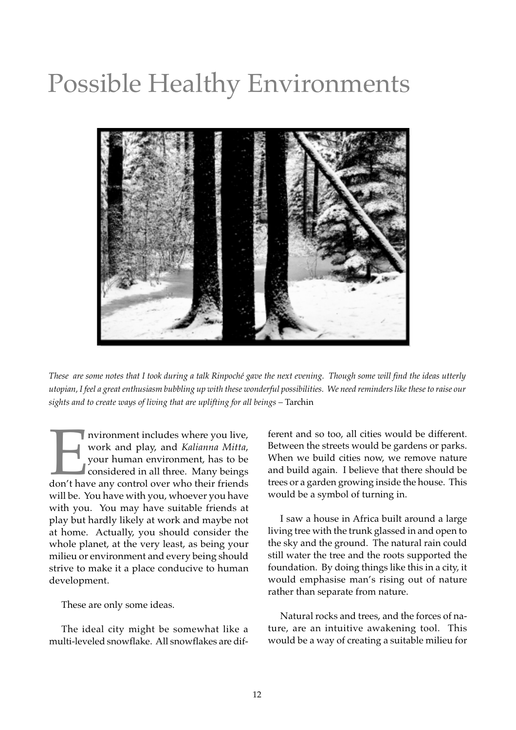### Possible Healthy Environments



*These are some notes that I took during a talk Rinpoché gave the next evening. Though some will find the ideas utterly utopian, I feel a great enthusiasm bubbling up with these wonderful possibilities. We need reminders like these to raise our sights and to create ways of living that are uplifting for all beings –* Tarchin

Invironment includes where you live,<br>
work and play, and *Kalianna Mitta,*<br>
your human environment, has to be<br>
considered in all three. Many beings<br>
don't have any control over who their friends work and play, and *Kalianna Mitta*, your human environment, has to be considered in all three. Many beings don't have any control over who their friends will be. You have with you, whoever you have with you. You may have suitable friends at play but hardly likely at work and maybe not at home. Actually, you should consider the whole planet, at the very least, as being your milieu or environment and every being should strive to make it a place conducive to human development.

These are only some ideas.

The ideal city might be somewhat like a multi-leveled snowflake. All snowflakes are different and so too, all cities would be different. Between the streets would be gardens or parks. When we build cities now, we remove nature and build again. I believe that there should be trees or a garden growing inside the house. This would be a symbol of turning in.

I saw a house in Africa built around a large living tree with the trunk glassed in and open to the sky and the ground. The natural rain could still water the tree and the roots supported the foundation. By doing things like this in a city, it would emphasise man's rising out of nature rather than separate from nature.

Natural rocks and trees, and the forces of nature, are an intuitive awakening tool. This would be a way of creating a suitable milieu for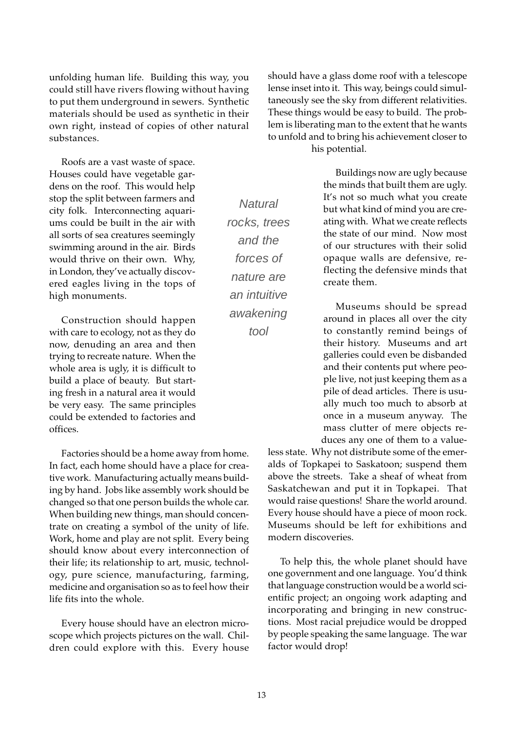unfolding human life. Building this way, you could still have rivers flowing without having to put them underground in sewers. Synthetic materials should be used as synthetic in their own right, instead of copies of other natural substances.

Roofs are a vast waste of space. Houses could have vegetable gardens on the roof. This would help stop the split between farmers and city folk. Interconnecting aquariums could be built in the air with all sorts of sea creatures seemingly swimming around in the air. Birds would thrive on their own. Why, in London, they've actually discovered eagles living in the tops of high monuments.

Construction should happen with care to ecology, not as they do now, denuding an area and then trying to recreate nature. When the whole area is ugly, it is difficult to build a place of beauty. But starting fresh in a natural area it would be very easy. The same principles could be extended to factories and offices.

Factories should be a home away from home. In fact, each home should have a place for creative work. Manufacturing actually means building by hand. Jobs like assembly work should be changed so that one person builds the whole car. When building new things, man should concentrate on creating a symbol of the unity of life. Work, home and play are not split. Every being should know about every interconnection of their life; its relationship to art, music, technology, pure science, manufacturing, farming, medicine and organisation so as to feel how their life fits into the whole.

Every house should have an electron microscope which projects pictures on the wall. Children could explore with this. Every house should have a glass dome roof with a telescope lense inset into it. This way, beings could simultaneously see the sky from different relativities. These things would be easy to build. The problem is liberating man to the extent that he wants to unfold and to bring his achievement closer to his potential.

*Natural rocks, trees and the forces of nature are an intuitive awakening tool*

Buildings now are ugly because the minds that built them are ugly. It's not so much what you create but what kind of mind you are creating with. What we create reflects the state of our mind. Now most of our structures with their solid opaque walls are defensive, reflecting the defensive minds that create them.

Museums should be spread around in places all over the city to constantly remind beings of their history. Museums and art galleries could even be disbanded and their contents put where people live, not just keeping them as a pile of dead articles. There is usually much too much to absorb at once in a museum anyway. The mass clutter of mere objects reduces any one of them to a value-

less state. Why not distribute some of the emeralds of Topkapei to Saskatoon; suspend them above the streets. Take a sheaf of wheat from Saskatchewan and put it in Topkapei. That would raise questions! Share the world around. Every house should have a piece of moon rock. Museums should be left for exhibitions and modern discoveries.

To help this, the whole planet should have one government and one language. You'd think that language construction would be a world scientific project; an ongoing work adapting and incorporating and bringing in new constructions. Most racial prejudice would be dropped by people speaking the same language. The war factor would drop!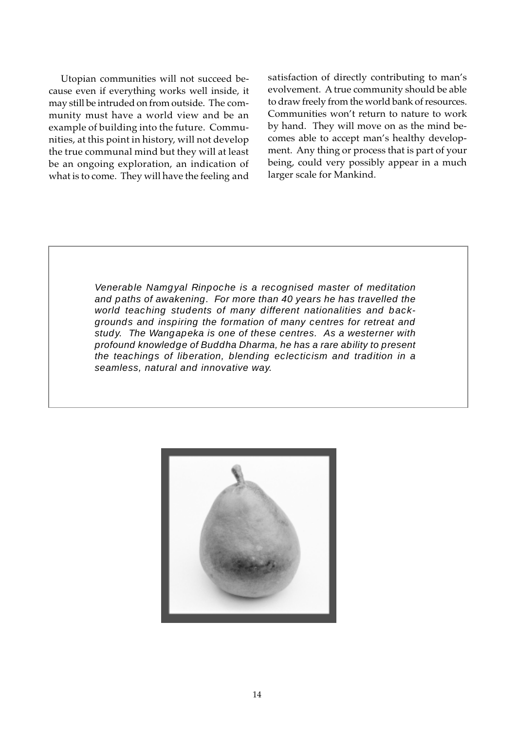Utopian communities will not succeed because even if everything works well inside, it may still be intruded on from outside. The community must have a world view and be an example of building into the future. Communities, at this point in history, will not develop the true communal mind but they will at least be an ongoing exploration, an indication of what is to come. They will have the feeling and satisfaction of directly contributing to man's evolvement. A true community should be able to draw freely from the world bank of resources. Communities won't return to nature to work by hand. They will move on as the mind becomes able to accept man's healthy development. Any thing or process that is part of your being, could very possibly appear in a much larger scale for Mankind.

*Venerable Namgyal Rinpoche is a recognised master of meditation and paths of awakening. For more than 40 years he has travelled the world teaching students of many different nationalities and backgrounds and inspiring the formation of many centres for retreat and study. The Wangapeka is one of these centres. As a westerner with profound knowledge of Buddha Dharma, he has a rare ability to present the teachings of liberation, blending eclecticism and tradition in a seamless, natural and innovative way.*

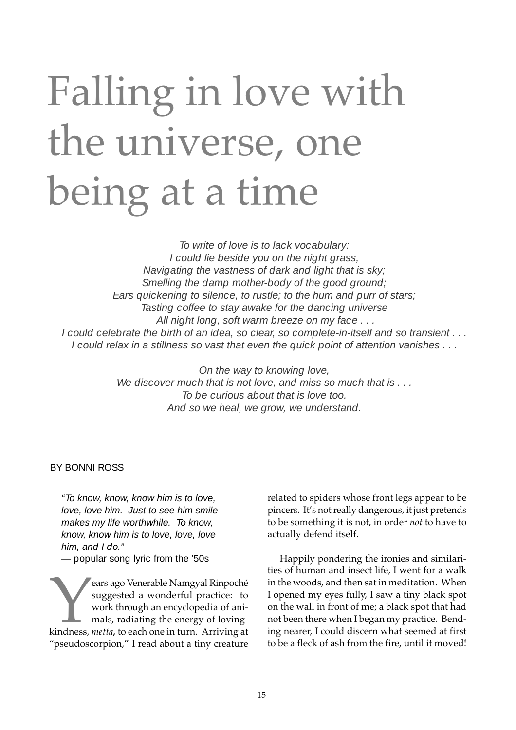# Falling in love with the universe, one being at a time

*To write of love is to lack vocabulary: I could lie beside you on the night grass, Navigating the vastness of dark and light that is sky; Smelling the damp mother-body of the good ground; Ears quickening to silence, to rustle; to the hum and purr of stars; Tasting coffee to stay awake for the dancing universe All night long, soft warm breeze on my face . . . I could celebrate the birth of an idea, so clear, so complete-in-itself and so transient . . . I could relax in a stillness so vast that even the quick point of attention vanishes . . .*

> *On the way to knowing love, We discover much that is not love, and miss so much that is . . . To be curious about that is love too. And so we heal, we grow, we understand.*

BY BONNI ROSS

*"To know, know, know him is to love, love, love him. Just to see him smile makes my life worthwhile. To know, know, know him is to love, love, love him, and I do."*

— popular song lyric from the '50s

**Years ago Venerable Namgyal Rinpoché**<br>suggested a wonderful practice: to<br>work through an encyclopedia of ani-<br>mals, radiating the energy of loving-<br>kindness, *metta*, to each one in turn. Arriving at suggested a wonderful practice: to work through an encyclopedia of animals, radiating the energy of loving-"pseudoscorpion," I read about a tiny creature related to spiders whose front legs appear to be pincers. It's not really dangerous, it just pretends to be something it is not, in order *not* to have to actually defend itself.

Happily pondering the ironies and similarities of human and insect life, I went for a walk in the woods, and then sat in meditation. When I opened my eyes fully, I saw a tiny black spot on the wall in front of me; a black spot that had not been there when I began my practice. Bending nearer, I could discern what seemed at first to be a fleck of ash from the fire, until it moved!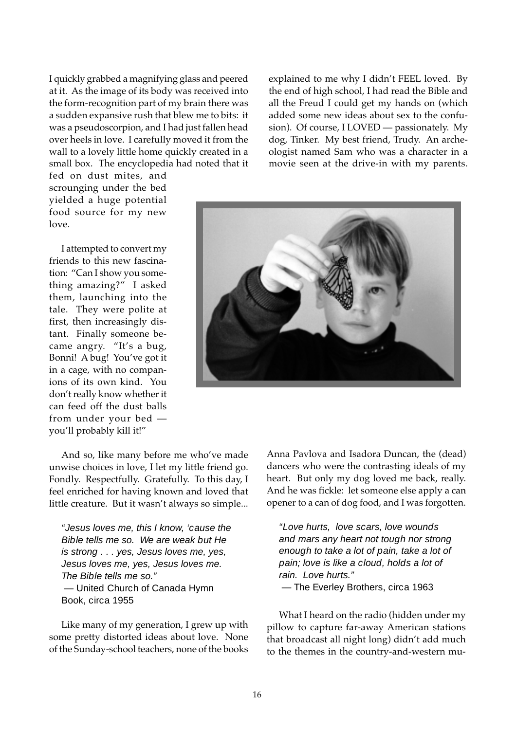I quickly grabbed a magnifying glass and peered at it. As the image of its body was received into the form-recognition part of my brain there was a sudden expansive rush that blew me to bits: it was a pseudoscorpion, and I had just fallen head over heels in love. I carefully moved it from the wall to a lovely little home quickly created in a small box. The encyclopedia had noted that it

fed on dust mites, and scrounging under the bed yielded a huge potential food source for my new love.

I attempted to convert my friends to this new fascination: "Can I show you something amazing?" I asked them, launching into the tale. They were polite at first, then increasingly distant. Finally someone became angry. "It's a bug, Bonni! A bug! You've got it in a cage, with no companions of its own kind. You don't really know whether it can feed off the dust balls from under your bed you'll probably kill it!"

explained to me why I didn't FEEL loved. By the end of high school, I had read the Bible and all the Freud I could get my hands on (which added some new ideas about sex to the confusion). Of course, I LOVED — passionately. My dog, Tinker. My best friend, Trudy. An archeologist named Sam who was a character in a movie seen at the drive-in with my parents.



And so, like many before me who've made unwise choices in love, I let my little friend go. Fondly. Respectfully. Gratefully. To this day, I feel enriched for having known and loved that little creature. But it wasn't always so simple...

*"Jesus loves me, this I know, 'cause the Bible tells me so. We are weak but He is strong . . . yes, Jesus loves me, yes, Jesus loves me, yes, Jesus loves me. The Bible tells me so." —* United Church of Canada Hymn Book, circa 1955

Like many of my generation, I grew up with some pretty distorted ideas about love. None of the Sunday-school teachers, none of the books Anna Pavlova and Isadora Duncan, the (dead) dancers who were the contrasting ideals of my heart. But only my dog loved me back, really. And he was fickle: let someone else apply a can opener to a can of dog food, and I was forgotten.

*"Love hurts, love scars, love wounds and mars any heart not tough nor strong enough to take a lot of pain, take a lot of pain; love is like a cloud, holds a lot of rain. Love hurts."* — The Everley Brothers, circa 1963

What I heard on the radio (hidden under my pillow to capture far-away American stations that broadcast all night long) didn't add much to the themes in the country-and-western mu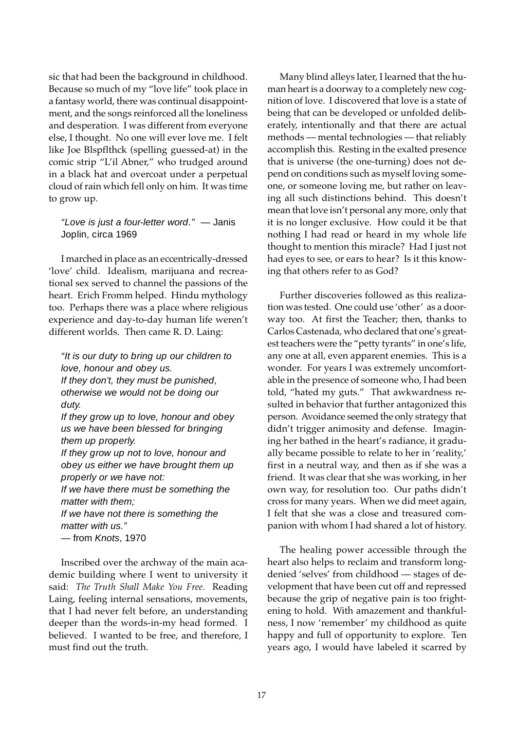sic that had been the background in childhood. Because so much of my "love life" took place in a fantasy world, there was continual disappointment, and the songs reinforced all the loneliness and desperation. I was different from everyone else, I thought. No one will ever love me. I felt like Joe Blspflthck (spelling guessed-at) in the comic strip "L'il Abner," who trudged around in a black hat and overcoat under a perpetual cloud of rain which fell only on him. It was time to grow up.

#### *"Love is just a four-letter word."* — Janis Joplin, circa 1969

I marched in place as an eccentrically-dressed 'love' child. Idealism, marijuana and recreational sex served to channel the passions of the heart. Erich Fromm helped. Hindu mythology too. Perhaps there was a place where religious experience and day-to-day human life weren't different worlds. Then came R. D. Laing:

*"It is our duty to bring up our children to love, honour and obey us. If they don't, they must be punished, otherwise we would not be doing our duty. If they grow up to love, honour and obey us we have been blessed for bringing them up properly. If they grow up not to love, honour and obey us either we have brought them up properly or we have not: If we have there must be something the matter with them; If we have not there is something the matter with us."* — from *Knots*, 1970

Inscribed over the archway of the main academic building where I went to university it said: *The Truth Shall Make You Free.* Reading Laing, feeling internal sensations, movements, that I had never felt before, an understanding deeper than the words-in-my head formed. I believed. I wanted to be free, and therefore, I must find out the truth.

Many blind alleys later, I learned that the human heart is a doorway to a completely new cognition of love. I discovered that love is a state of being that can be developed or unfolded deliberately, intentionally and that there are actual methods — mental technologies — that reliably accomplish this. Resting in the exalted presence that is universe (the one-turning) does not depend on conditions such as myself loving someone, or someone loving me, but rather on leaving all such distinctions behind. This doesn't mean that love isn't personal any more, only that it is no longer exclusive. How could it be that nothing I had read or heard in my whole life thought to mention this miracle? Had I just not had eyes to see, or ears to hear? Is it this knowing that others refer to as God?

Further discoveries followed as this realization was tested. One could use 'other' as a doorway too. At first the Teacher; then, thanks to Carlos Castenada, who declared that one's greatest teachers were the "petty tyrants" in one's life, any one at all, even apparent enemies. This is a wonder. For years I was extremely uncomfortable in the presence of someone who, I had been told, "hated my guts." That awkwardness resulted in behavior that further antagonized this person. Avoidance seemed the only strategy that didn't trigger animosity and defense. Imagining her bathed in the heart's radiance, it gradually became possible to relate to her in 'reality,' first in a neutral way, and then as if she was a friend. It was clear that she was working, in her own way, for resolution too. Our paths didn't cross for many years. When we did meet again, I felt that she was a close and treasured companion with whom I had shared a lot of history.

The healing power accessible through the heart also helps to reclaim and transform longdenied 'selves' from childhood — stages of development that have been cut off and repressed because the grip of negative pain is too frightening to hold. With amazement and thankfulness, I now 'remember' my childhood as quite happy and full of opportunity to explore. Ten years ago, I would have labeled it scarred by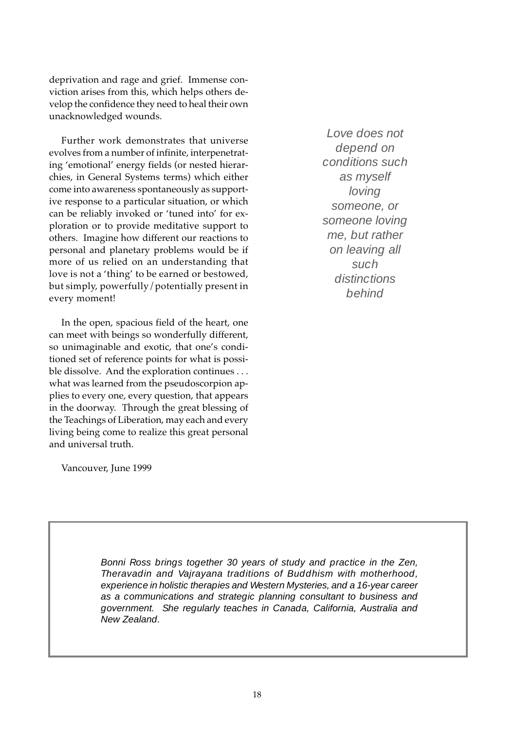deprivation and rage and grief. Immense conviction arises from this, which helps others develop the confidence they need to heal their own unacknowledged wounds.

Further work demonstrates that universe evolves from a number of infinite, interpenetrating 'emotional' energy fields (or nested hierarchies, in General Systems terms) which either come into awareness spontaneously as supportive response to a particular situation, or which can be reliably invoked or 'tuned into' for exploration or to provide meditative support to others. Imagine how different our reactions to personal and planetary problems would be if more of us relied on an understanding that love is not a 'thing' to be earned or bestowed, but simply, powerfully/potentially present in every moment!

In the open, spacious field of the heart, one can meet with beings so wonderfully different, so unimaginable and exotic, that one's conditioned set of reference points for what is possible dissolve. And the exploration continues . . . what was learned from the pseudoscorpion applies to every one, every question, that appears in the doorway. Through the great blessing of the Teachings of Liberation, may each and every living being come to realize this great personal and universal truth.

Vancouver, June 1999

*Love does not depend on conditions such as myself loving someone, or someone loving me, but rather on leaving all such distinctions behind*

*Bonni Ross brings together 30 years of study and practice in the Zen, Theravadin and Vajrayana traditions of Buddhism with motherhood, experience in holistic therapies and Western Mysteries, and a 16-year career as a communications and strategic planning consultant to business and government. She regularly teaches in Canada, California, Australia and New Zealand.*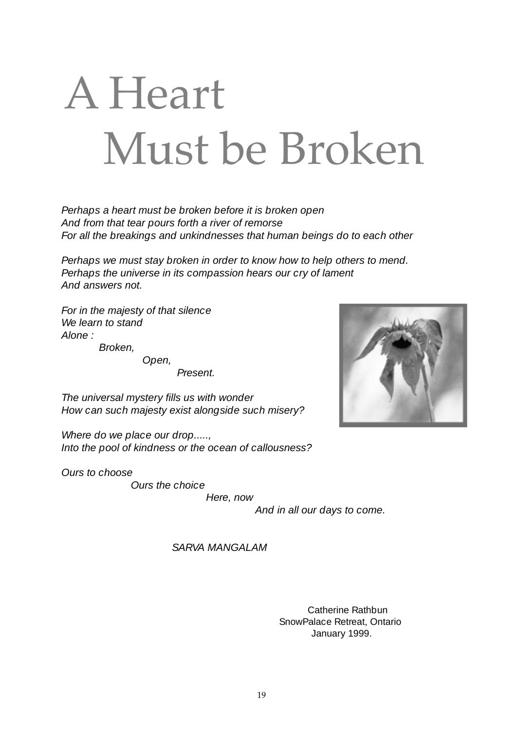# A Heart Must be Broken

*Perhaps a heart must be broken before it is broken open And from that tear pours forth a river of remorse For all the breakings and unkindnesses that human beings do to each other*

*Perhaps we must stay broken in order to know how to help others to mend. Perhaps the universe in its compassion hears our cry of lament And answers not.*

*For in the majesty of that silence We learn to stand Alone :*

 *Broken,*

 *Open, Present.*



*The universal mystery fills us with wonder How can such majesty exist alongside such misery?*

*Where do we place our drop....., Into the pool of kindness or the ocean of callousness?*

*Ours to choose*

 *Ours the choice*

 *Here, now*

 *And in all our days to come.*

#### *SARVA MANGALAM*

 Catherine Rathbun SnowPalace Retreat, Ontario January 1999.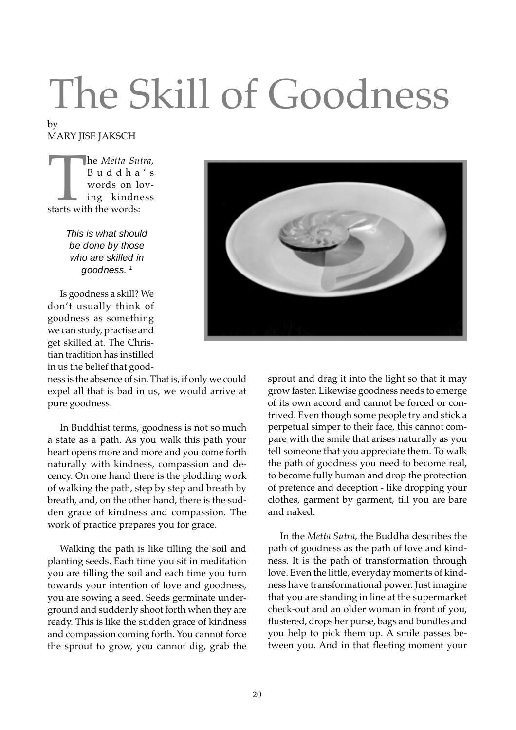# The Skill of Goodness

by MARY JISE JAKSCH

The *Metta Sutra*,<br>
B u d d h a ' s<br>
words on lov-<br>
ing kindness<br>
starts with the words: Buddha's words on loving kindness

> *This is what should be done by those who are skilled in goodness. 1*

Is goodness a skill? We don't usually think of goodness as something we can study, practise and get skilled at. The Christian tradition has instilled in us the belief that good-



ness is the absence of sin. That is, if only we could expel all that is bad in us, we would arrive at pure goodness.

In Buddhist terms, goodness is not so much a state as a path. As you walk this path your heart opens more and more and you come forth naturally with kindness, compassion and decency. On one hand there is the plodding work of walking the path, step by step and breath by breath, and, on the other hand, there is the sudden grace of kindness and compassion. The work of practice prepares you for grace.

Walking the path is like tilling the soil and planting seeds. Each time you sit in meditation you are tilling the soil and each time you turn towards your intention of love and goodness, you are sowing a seed. Seeds germinate underground and suddenly shoot forth when they are ready. This is like the sudden grace of kindness and compassion coming forth. You cannot force the sprout to grow, you cannot dig, grab the sprout and drag it into the light so that it may grow faster. Likewise goodness needs to emerge of its own accord and cannot be forced or contrived. Even though some people try and stick a perpetual simper to their face, this cannot compare with the smile that arises naturally as you tell someone that you appreciate them. To walk the path of goodness you need to become real, to become fully human and drop the protection of pretence and deception - like dropping your clothes, garment by garment, till you are bare and naked.

In the *Metta Sutra*, the Buddha describes the path of goodness as the path of love and kindness. It is the path of transformation through love. Even the little, everyday moments of kindness have transformational power. Just imagine that you are standing in line at the supermarket check-out and an older woman in front of you, flustered, drops her purse, bags and bundles and you help to pick them up. A smile passes between you. And in that fleeting moment your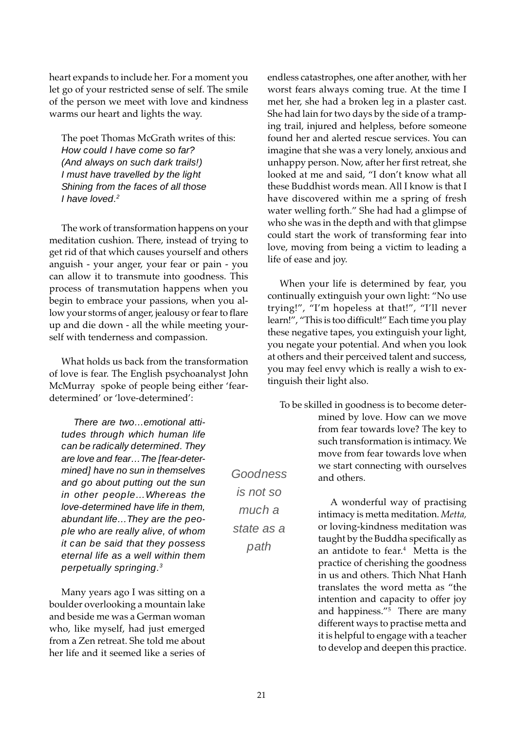heart expands to include her. For a moment you let go of your restricted sense of self. The smile of the person we meet with love and kindness warms our heart and lights the way.

The poet Thomas McGrath writes of this: *How could I have come so far? (And always on such dark trails!) I must have travelled by the light Shining from the faces of all those I have loved.2*

The work of transformation happens on your meditation cushion. There, instead of trying to get rid of that which causes yourself and others anguish - your anger, your fear or pain - you can allow it to transmute into goodness. This process of transmutation happens when you begin to embrace your passions, when you allow your storms of anger, jealousy or fear to flare up and die down - all the while meeting yourself with tenderness and compassion.

What holds us back from the transformation of love is fear. The English psychoanalyst John McMurray spoke of people being either 'feardetermined' or 'love-determined':

*There are two…emotional attitudes through which human life can be radically determined. They are love and fear…The [fear-determined] have no sun in themselves and go about putting out the sun in other people…Whereas the love-determined have life in them, abundant life…They are the people who are really alive, of whom it can be said that they possess eternal life as a well within them perpetually springing.3*

Many years ago I was sitting on a boulder overlooking a mountain lake and beside me was a German woman who, like myself, had just emerged from a Zen retreat. She told me about her life and it seemed like a series of

endless catastrophes, one after another, with her worst fears always coming true. At the time I met her, she had a broken leg in a plaster cast. She had lain for two days by the side of a tramping trail, injured and helpless, before someone found her and alerted rescue services. You can imagine that she was a very lonely, anxious and unhappy person. Now, after her first retreat, she looked at me and said, "I don't know what all these Buddhist words mean. All I know is that I have discovered within me a spring of fresh water welling forth." She had had a glimpse of who she was in the depth and with that glimpse could start the work of transforming fear into love, moving from being a victim to leading a life of ease and joy.

When your life is determined by fear, you continually extinguish your own light: "No use trying!", "I'm hopeless at that!", "I'll never learn!", "This is too difficult!" Each time you play these negative tapes, you extinguish your light, you negate your potential. And when you look at others and their perceived talent and success, you may feel envy which is really a wish to extinguish their light also.

To be skilled in goodness is to become determined by love. How can we move from fear towards love? The key to such transformation is intimacy. We move from fear towards love when we start connecting with ourselves and others.

> A wonderful way of practising intimacy is metta meditation. *Metta,* or loving-kindness meditation was taught by the Buddha specifically as an antidote to fear.4 Metta is the practice of cherishing the goodness in us and others. Thich Nhat Hanh translates the word metta as "the intention and capacity to offer joy and happiness."<sup>5</sup> There are many different ways to practise metta and it is helpful to engage with a teacher to develop and deepen this practice.

*Goodness is not so much a state as a path*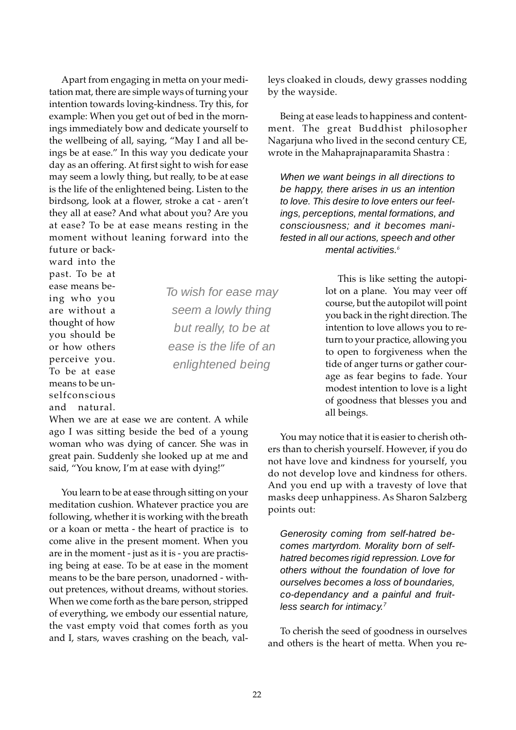Apart from engaging in metta on your meditation mat, there are simple ways of turning your intention towards loving-kindness. Try this, for example: When you get out of bed in the mornings immediately bow and dedicate yourself to the wellbeing of all, saying, "May I and all beings be at ease." In this way you dedicate your day as an offering. At first sight to wish for ease may seem a lowly thing, but really, to be at ease is the life of the enlightened being. Listen to the birdsong, look at a flower, stroke a cat - aren't they all at ease? And what about you? Are you at ease? To be at ease means resting in the moment without leaning forward into the

future or backward into the past. To be at ease means being who you are without a thought of how you should be or how others perceive you. To be at ease means to be unselfconscious and natural.

*To wish for ease may seem a lowly thing but really, to be at ease is the life of an enlightened being*

When we are at ease we are content. A while ago I was sitting beside the bed of a young woman who was dying of cancer. She was in great pain. Suddenly she looked up at me and said, "You know, I'm at ease with dying!"

You learn to be at ease through sitting on your meditation cushion. Whatever practice you are following, whether it is working with the breath or a koan or metta - the heart of practice is to come alive in the present moment. When you are in the moment - just as it is - you are practising being at ease. To be at ease in the moment means to be the bare person, unadorned - without pretences, without dreams, without stories. When we come forth as the bare person, stripped of everything, we embody our essential nature, the vast empty void that comes forth as you and I, stars, waves crashing on the beach, valleys cloaked in clouds, dewy grasses nodding by the wayside.

Being at ease leads to happiness and contentment. The great Buddhist philosopher Nagarjuna who lived in the second century CE, wrote in the Mahaprajnaparamita Shastra :

*When we want beings in all directions to be happy, there arises in us an intention to love. This desire to love enters our feelings, perceptions, mental formations, and consciousness; and it becomes manifested in all our actions, speech and other mental activities.<sup>6</sup>*

> This is like setting the autopilot on a plane. You may veer off course, but the autopilot will point you back in the right direction. The intention to love allows you to return to your practice, allowing you to open to forgiveness when the tide of anger turns or gather courage as fear begins to fade. Your modest intention to love is a light of goodness that blesses you and all beings.

You may notice that it is easier to cherish others than to cherish yourself. However, if you do not have love and kindness for yourself, you do not develop love and kindness for others. And you end up with a travesty of love that masks deep unhappiness. As Sharon Salzberg points out:

*Generosity coming from self-hatred becomes martyrdom. Morality born of selfhatred becomes rigid repression. Love for others without the foundation of love for ourselves becomes a loss of boundaries, co-dependancy and a painful and fruitless search for intimacy.7*

To cherish the seed of goodness in ourselves and others is the heart of metta. When you re-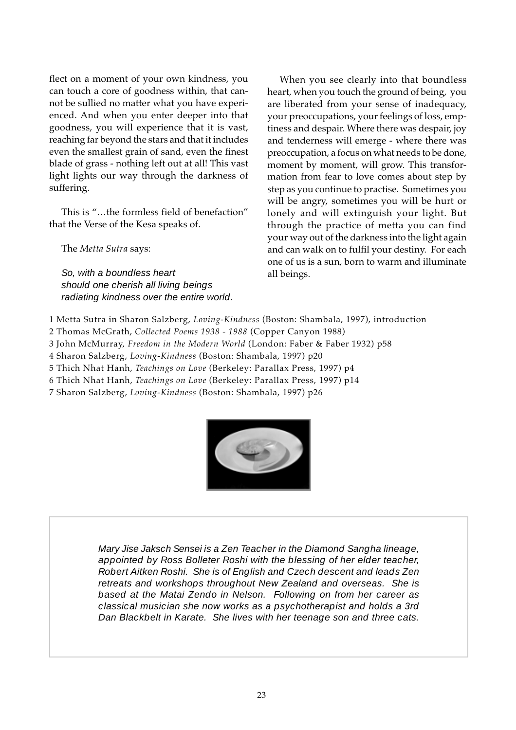flect on a moment of your own kindness, you can touch a core of goodness within, that cannot be sullied no matter what you have experienced. And when you enter deeper into that goodness, you will experience that it is vast, reaching far beyond the stars and that it includes even the smallest grain of sand, even the finest blade of grass - nothing left out at all! This vast light lights our way through the darkness of suffering.

This is "…the formless field of benefaction" that the Verse of the Kesa speaks of.

The *Metta Sutra* says:

*So, with a boundless heart should one cherish all living beings radiating kindness over the entire world.*

When you see clearly into that boundless heart, when you touch the ground of being, you are liberated from your sense of inadequacy, your preoccupations, your feelings of loss, emptiness and despair. Where there was despair, joy and tenderness will emerge - where there was preoccupation, a focus on what needs to be done, moment by moment, will grow. This transformation from fear to love comes about step by step as you continue to practise. Sometimes you will be angry, sometimes you will be hurt or lonely and will extinguish your light. But through the practice of metta you can find your way out of the darkness into the light again and can walk on to fulfil your destiny. For each one of us is a sun, born to warm and illuminate all beings.

- 1 Metta Sutra in Sharon Salzberg, *Loving-Kindness* (Boston: Shambala, 1997), introduction
- 2 Thomas McGrath, *Collected Poems 1938 1988* (Copper Canyon 1988)
- 3 John McMurray, *Freedom in the Modern World* (London: Faber & Faber 1932) p58
- 4 Sharon Salzberg, *Loving-Kindness* (Boston: Shambala, 1997) p20
- 5 Thich Nhat Hanh, *Teachings on Love* (Berkeley: Parallax Press, 1997) p4
- 6 Thich Nhat Hanh, *Teachings on Love* (Berkeley: Parallax Press, 1997) p14
- 7 Sharon Salzberg, *Loving-Kindness* (Boston: Shambala, 1997) p26



1234567890123456789012345678901212345678901234567890123456789012 *Mary Jise Jaksch Sensei is a Zen Teacher in the Diamond Sangha lineage,* **12345679123456789012345678901234567890123456789012345678901234567890123456789012345678901234567890123456789012345678901234567890123456789012345678901234567890123456890123456890123456890123456890123456890123456890123456890 12345678901234567802345678901234567890123456789012345678901234567890123456789012345678901234567890123456789012 12345678912345678156781567891234567891234567891234567891234567891234567891234567890123456789012345678901234567890123456789012345678901234567890123456789012345678912345678912345678912345678912345678912345678912345678912345 based at the Matai Zendo in Nelson. Following on from her career as** | *classical musician she now works as a psychotherapist and holds a 3rd* **12345678912345678901234567890123456789012345678901234567890123456789012345678901234567890123456789012345678901234567890123456789012345678901234567890123456789012345678901234567890123456789012345678901234567890123456789012** 1234567890123456789012345678901212345678901234567890123456789012

12345678901234567890123456789012345678901234567890123456789012345678901234567890123456789012345678901234567890 1234567890123456789012345678901212345678901234567890123456789012 12345678901234567890123456789012345678901234567890123456789012345678901234567890123456789012345678901234567890 1234567890123456789012345678901212345678901234567890123456789012 12345678901234567890123456789012345678901234567890123456789012345678901234567890123456789012345678901234567890

1234567890123456789012345678901212345678901234567890123456789012 1234567890123456789012345678901212345678901234567890123456789012 1234567890123456789012345678901212345678901234567890123456789012 1234567890123456789012345678901212345678901234567890123456789012 1234567890123456789012345678901212345678901234567890123456789012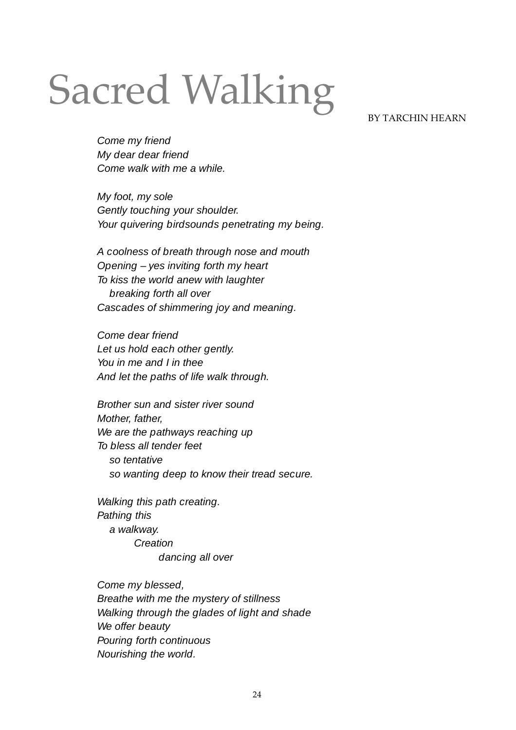# Sacred Walking

BY TARCHIN HEARN

*Come my friend My dear dear friend Come walk with me a while.*

*My foot, my sole Gently touching your shoulder. Your quivering birdsounds penetrating my being.*

*A coolness of breath through nose and mouth Opening – yes inviting forth my heart To kiss the world anew with laughter breaking forth all over Cascades of shimmering joy and meaning.*

*Come dear friend Let us hold each other gently. You in me and I in thee And let the paths of life walk through.*

*Brother sun and sister river sound Mother, father, We are the pathways reaching up To bless all tender feet so tentative so wanting deep to know their tread secure.*

*Walking this path creating. Pathing this a walkway. Creation dancing all over*

*Come my blessed, Breathe with me the mystery of stillness Walking through the glades of light and shade We offer beauty Pouring forth continuous Nourishing the world.*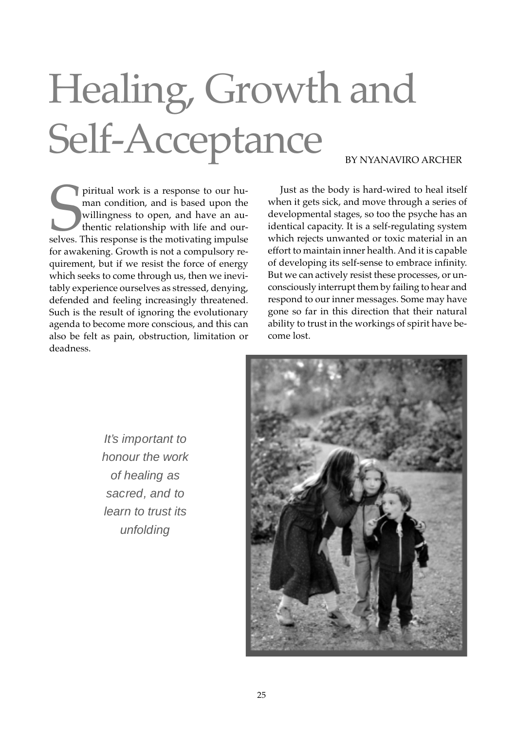# Healing, Growth and Self-Acceptance

piritual work is a response to our human condition, and is based upon the willingness to open, and have an authentic relationship with life and ourselves. This response is the motivating impulse piritual work is a response to our human condition, and is based upon the willingness to open, and have an authentic relationship with life and ourfor awakening. Growth is not a compulsory requirement, but if we resist the force of energy which seeks to come through us, then we inevitably experience ourselves as stressed, denying, defended and feeling increasingly threatened. Such is the result of ignoring the evolutionary agenda to become more conscious, and this can also be felt as pain, obstruction, limitation or deadness.

Just as the body is hard-wired to heal itself when it gets sick, and move through a series of developmental stages, so too the psyche has an identical capacity. It is a self-regulating system which rejects unwanted or toxic material in an effort to maintain inner health. And it is capable of developing its self-sense to embrace infinity. But we can actively resist these processes, or unconsciously interrupt them by failing to hear and respond to our inner messages. Some may have gone so far in this direction that their natural ability to trust in the workings of spirit have become lost.

*It's important to honour the work of healing as sacred, and to learn to trust its unfolding*

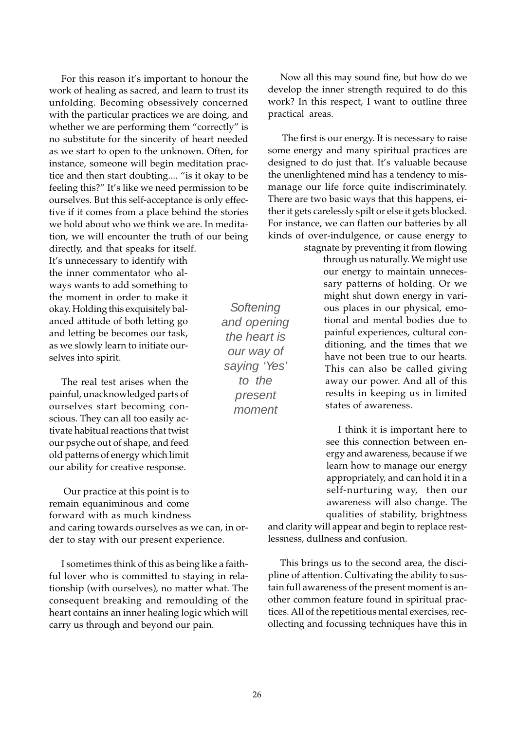For this reason it's important to honour the work of healing as sacred, and learn to trust its unfolding. Becoming obsessively concerned with the particular practices we are doing, and whether we are performing them "correctly" is no substitute for the sincerity of heart needed as we start to open to the unknown. Often, for instance, someone will begin meditation practice and then start doubting.... "is it okay to be feeling this?" It's like we need permission to be ourselves. But this self-acceptance is only effective if it comes from a place behind the stories we hold about who we think we are. In meditation, we will encounter the truth of our being directly, and that speaks for itself.

It's unnecessary to identify with the inner commentator who always wants to add something to the moment in order to make it okay. Holding this exquisitely balanced attitude of both letting go and letting be becomes our task, as we slowly learn to initiate ourselves into spirit.

The real test arises when the painful, unacknowledged parts of ourselves start becoming conscious. They can all too easily activate habitual reactions that twist our psyche out of shape, and feed old patterns of energy which limit our ability for creative response.

Our practice at this point is to remain equaniminous and come forward with as much kindness and caring towards ourselves as we can, in order to stay with our present experience.

I sometimes think of this as being like a faithful lover who is committed to staying in relationship (with ourselves), no matter what. The consequent breaking and remoulding of the heart contains an inner healing logic which will carry us through and beyond our pain.

Now all this may sound fine, but how do we develop the inner strength required to do this work? In this respect, I want to outline three practical areas.

The first is our energy. It is necessary to raise some energy and many spiritual practices are designed to do just that. It's valuable because the unenlightened mind has a tendency to mismanage our life force quite indiscriminately. There are two basic ways that this happens, either it gets carelessly spilt or else it gets blocked. For instance, we can flatten our batteries by all kinds of over-indulgence, or cause energy to

> stagnate by preventing it from flowing through us naturally. We might use our energy to maintain unnecessary patterns of holding. Or we might shut down energy in various places in our physical, emotional and mental bodies due to painful experiences, cultural conditioning, and the times that we have not been true to our hearts. This can also be called giving away our power. And all of this results in keeping us in limited states of awareness.

> > I think it is important here to see this connection between energy and awareness, because if we learn how to manage our energy appropriately, and can hold it in a self-nurturing way, then our awareness will also change. The qualities of stability, brightness

and clarity will appear and begin to replace restlessness, dullness and confusion.

This brings us to the second area, the discipline of attention. Cultivating the ability to sustain full awareness of the present moment is another common feature found in spiritual practices. All of the repetitious mental exercises, recollecting and focussing techniques have this in

*Softening and opening the heart is our way of saying 'Yes' to the present moment*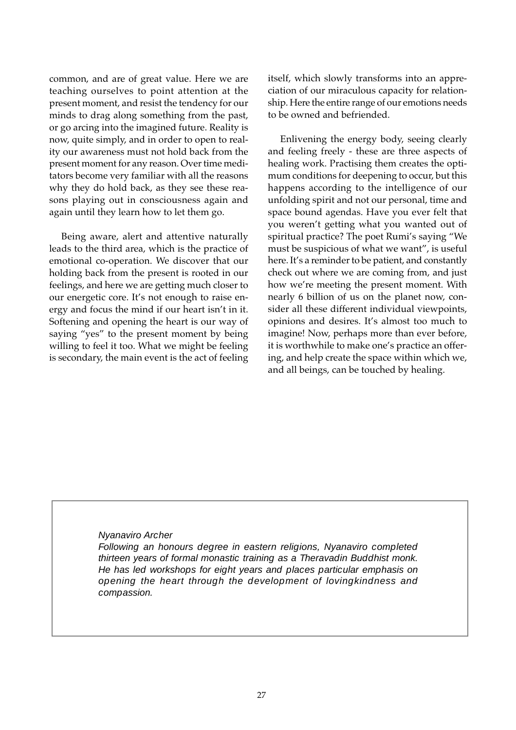common, and are of great value. Here we are teaching ourselves to point attention at the present moment, and resist the tendency for our minds to drag along something from the past, or go arcing into the imagined future. Reality is now, quite simply, and in order to open to reality our awareness must not hold back from the present moment for any reason. Over time meditators become very familiar with all the reasons why they do hold back, as they see these reasons playing out in consciousness again and again until they learn how to let them go.

Being aware, alert and attentive naturally leads to the third area, which is the practice of emotional co-operation. We discover that our holding back from the present is rooted in our feelings, and here we are getting much closer to our energetic core. It's not enough to raise energy and focus the mind if our heart isn't in it. Softening and opening the heart is our way of saying "yes" to the present moment by being willing to feel it too. What we might be feeling is secondary, the main event is the act of feeling itself, which slowly transforms into an appreciation of our miraculous capacity for relationship. Here the entire range of our emotions needs to be owned and befriended.

Enlivening the energy body, seeing clearly and feeling freely - these are three aspects of healing work. Practising them creates the optimum conditions for deepening to occur, but this happens according to the intelligence of our unfolding spirit and not our personal, time and space bound agendas. Have you ever felt that you weren't getting what you wanted out of spiritual practice? The poet Rumi's saying "We must be suspicious of what we want", is useful here. It's a reminder to be patient, and constantly check out where we are coming from, and just how we're meeting the present moment. With nearly 6 billion of us on the planet now, consider all these different individual viewpoints, opinions and desires. It's almost too much to imagine! Now, perhaps more than ever before, it is worthwhile to make one's practice an offering, and help create the space within which we, and all beings, can be touched by healing.

#### *Nyanaviro Archer*

*Following an honours degree in eastern religions, Nyanaviro completed thirteen years of formal monastic training as a Theravadin Buddhist monk. He has led workshops for eight years and places particular emphasis on opening the heart through the development of lovingkindness and compassion.*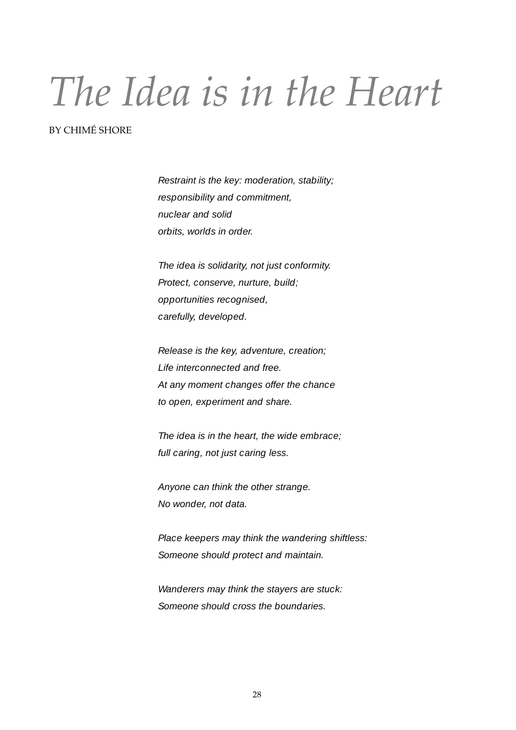## *The Idea is in the Heart*

#### BY CHIMÉ SHORE

*Restraint is the key: moderation, stability; responsibility and commitment, nuclear and solid orbits, worlds in order.*

*The idea is solidarity, not just conformity. Protect, conserve, nurture, build; opportunities recognised, carefully, developed.*

*Release is the key, adventure, creation; Life interconnected and free. At any moment changes offer the chance to open, experiment and share.*

*The idea is in the heart, the wide embrace; full caring, not just caring less.*

*Anyone can think the other strange. No wonder, not data.*

*Place keepers may think the wandering shiftless: Someone should protect and maintain.*

*Wanderers may think the stayers are stuck: Someone should cross the boundaries.*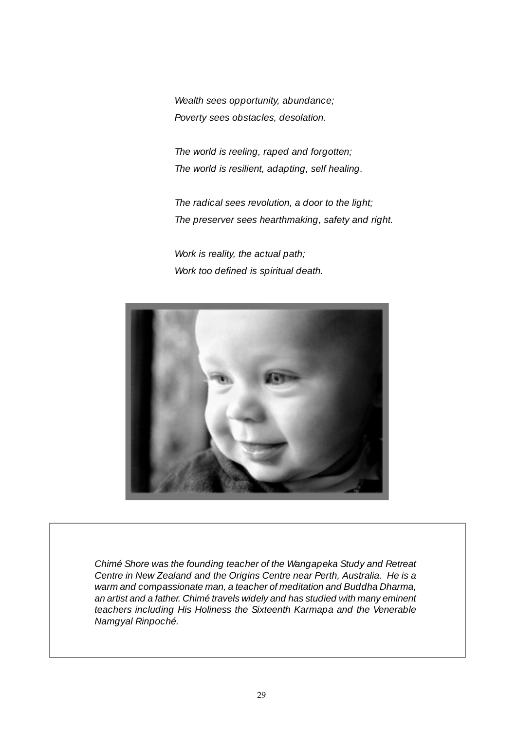*Wealth sees opportunity, abundance; Poverty sees obstacles, desolation.*

*The world is reeling, raped and forgotten; The world is resilient, adapting, self healing.*

*The radical sees revolution, a door to the light; The preserver sees hearthmaking, safety and right.*

*Work is reality, the actual path; Work too defined is spiritual death.*



*Chimé Shore was the founding teacher of the Wangapeka Study and Retreat Centre in New Zealand and the Origins Centre near Perth, Australia. He is a warm and compassionate man, a teacher of meditation and Buddha Dharma, an artist and a father. Chimé travels widely and has studied with many eminent teachers including His Holiness the Sixteenth Karmapa and the Venerable Namgyal Rinpoché.*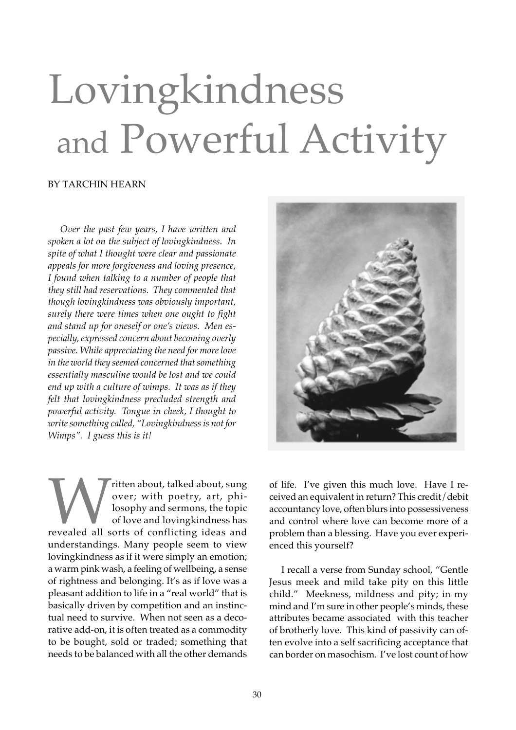# Lovingkindness and Powerful Activity

#### BY TARCHIN HEARN

*Over the past few years, I have written and spoken a lot on the subject of lovingkindness. In spite of what I thought were clear and passionate appeals for more forgiveness and loving presence, I found when talking to a number of people that they still had reservations. They commented that though lovingkindness was obviously important, surely there were times when one ought to fight and stand up for oneself or one's views. Men especially, expressed concern about becoming overly passive. While appreciating the need for more love in the world they seemed concerned that something essentially masculine would be lost and we could end up with a culture of wimps. It was as if they felt that lovingkindness precluded strength and powerful activity. Tongue in cheek, I thought to write something called, "Lovingkindness is not for Wimps". I guess this is it!*

Written about, talked about, sung<br>over; with poetry, art, phi-<br>losophy and sermons, the topic<br>of love and lovingkindness has<br>revealed all sorts of conflicting ideas and over; with poetry, art, philosophy and sermons, the topic of love and lovingkindness has understandings. Many people seem to view lovingkindness as if it were simply an emotion; a warm pink wash, a feeling of wellbeing, a sense of rightness and belonging. It's as if love was a pleasant addition to life in a "real world" that is basically driven by competition and an instinctual need to survive. When not seen as a decorative add-on, it is often treated as a commodity to be bought, sold or traded; something that needs to be balanced with all the other demands



of life. I've given this much love. Have I received an equivalent in return? This credit/debit accountancy love, often blurs into possessiveness and control where love can become more of a problem than a blessing. Have you ever experienced this yourself?

I recall a verse from Sunday school, "Gentle Jesus meek and mild take pity on this little child." Meekness, mildness and pity; in my mind and I'm sure in other people's minds, these attributes became associated with this teacher of brotherly love. This kind of passivity can often evolve into a self sacrificing acceptance that can border on masochism. I've lost count of how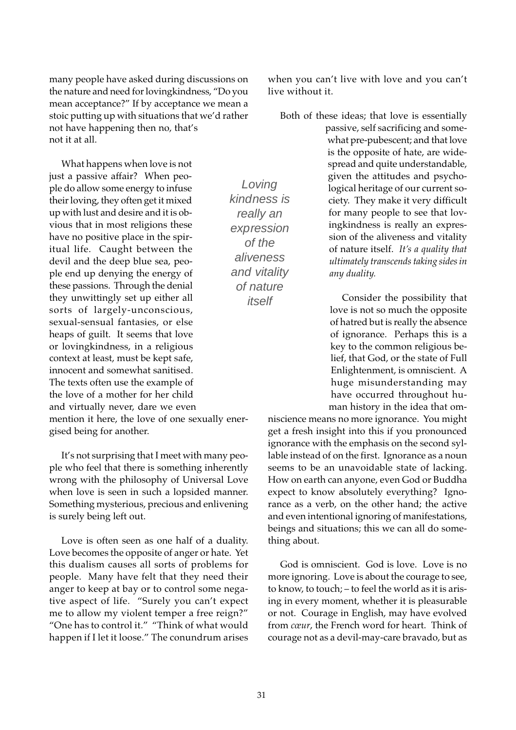many people have asked during discussions on the nature and need for lovingkindness, "Do you mean acceptance?" If by acceptance we mean a stoic putting up with situations that we'd rather not have happening then no, that's not it at all.

What happens when love is not just a passive affair? When people do allow some energy to infuse their loving, they often get it mixed up with lust and desire and it is obvious that in most religions these have no positive place in the spiritual life. Caught between the devil and the deep blue sea, people end up denying the energy of these passions. Through the denial they unwittingly set up either all sorts of largely-unconscious, sexual-sensual fantasies, or else heaps of guilt. It seems that love or lovingkindness, in a religious context at least, must be kept safe, innocent and somewhat sanitised. The texts often use the example of the love of a mother for her child and virtually never, dare we even

mention it here, the love of one sexually energised being for another.

It's not surprising that I meet with many people who feel that there is something inherently wrong with the philosophy of Universal Love when love is seen in such a lopsided manner. Something mysterious, precious and enlivening is surely being left out.

Love is often seen as one half of a duality. Love becomes the opposite of anger or hate. Yet this dualism causes all sorts of problems for people. Many have felt that they need their anger to keep at bay or to control some negative aspect of life. "Surely you can't expect me to allow my violent temper a free reign?" "One has to control it." "Think of what would happen if I let it loose." The conundrum arises when you can't live with love and you can't live without it.

Both of these ideas; that love is essentially

passive, self sacrificing and somewhat pre-pubescent; and that love is the opposite of hate, are widespread and quite understandable, given the attitudes and psychological heritage of our current society. They make it very difficult for many people to see that lovingkindness is really an expression of the aliveness and vitality of nature itself. *It's a quality that ultimately transcends taking sides in any duality.*

Consider the possibility that love is not so much the opposite of hatred but is really the absence of ignorance. Perhaps this is a key to the common religious belief, that God, or the state of Full Enlightenment, is omniscient. A huge misunderstanding may have occurred throughout human history in the idea that om-

niscience means no more ignorance. You might get a fresh insight into this if you pronounced ignorance with the emphasis on the second syllable instead of on the first. Ignorance as a noun seems to be an unavoidable state of lacking. How on earth can anyone, even God or Buddha expect to know absolutely everything? Ignorance as a verb, on the other hand; the active and even intentional ignoring of manifestations, beings and situations; this we can all do something about.

God is omniscient. God is love. Love is no more ignoring. Love is about the courage to see, to know, to touch; – to feel the world as it is arising in every moment, whether it is pleasurable or not. Courage in English, may have evolved from *cœur*, the French word for heart. Think of courage not as a devil-may-care bravado, but as

*Loving kindness is really an expression of the aliveness and vitality of nature itself*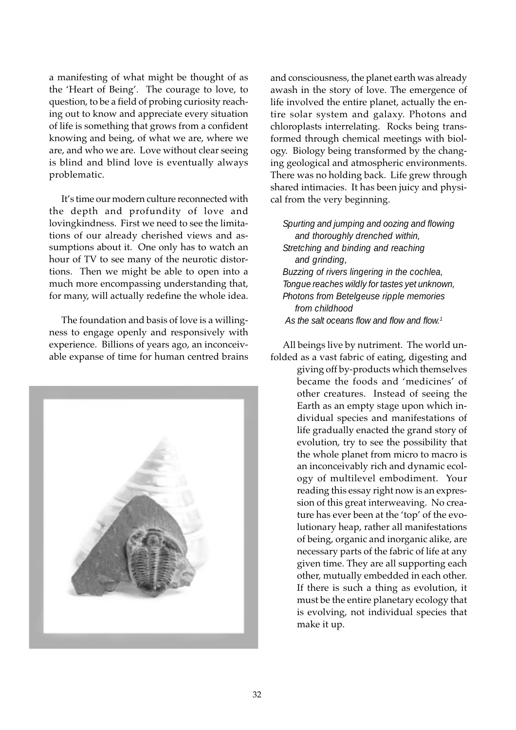a manifesting of what might be thought of as the 'Heart of Being'. The courage to love, to question, to be a field of probing curiosity reaching out to know and appreciate every situation of life is something that grows from a confident knowing and being, of what we are, where we are, and who we are. Love without clear seeing is blind and blind love is eventually always problematic.

It's time our modern culture reconnected with the depth and profundity of love and lovingkindness. First we need to see the limitations of our already cherished views and assumptions about it. One only has to watch an hour of TV to see many of the neurotic distortions. Then we might be able to open into a much more encompassing understanding that, for many, will actually redefine the whole idea.

The foundation and basis of love is a willingness to engage openly and responsively with experience. Billions of years ago, an inconceivable expanse of time for human centred brains



and consciousness, the planet earth was already awash in the story of love. The emergence of life involved the entire planet, actually the entire solar system and galaxy. Photons and chloroplasts interrelating. Rocks being transformed through chemical meetings with biology. Biology being transformed by the changing geological and atmospheric environments. There was no holding back. Life grew through shared intimacies. It has been juicy and physical from the very beginning.

*Spurting and jumping and oozing and flowing and thoroughly drenched within, Stretching and binding and reaching and grinding, Buzzing of rivers lingering in the cochlea, Tongue reaches wildly for tastes yet unknown, Photons from Betelgeuse ripple memories from childhood As the salt oceans flow and flow and flow.1*

All beings live by nutriment. The world unfolded as a vast fabric of eating, digesting and

> giving off by-products which themselves became the foods and 'medicines' of other creatures. Instead of seeing the Earth as an empty stage upon which individual species and manifestations of life gradually enacted the grand story of evolution, try to see the possibility that the whole planet from micro to macro is an inconceivably rich and dynamic ecology of multilevel embodiment. Your reading this essay right now is an expression of this great interweaving. No creature has ever been at the 'top' of the evolutionary heap, rather all manifestations of being, organic and inorganic alike, are necessary parts of the fabric of life at any given time. They are all supporting each other, mutually embedded in each other. If there is such a thing as evolution, it must be the entire planetary ecology that is evolving, not individual species that make it up.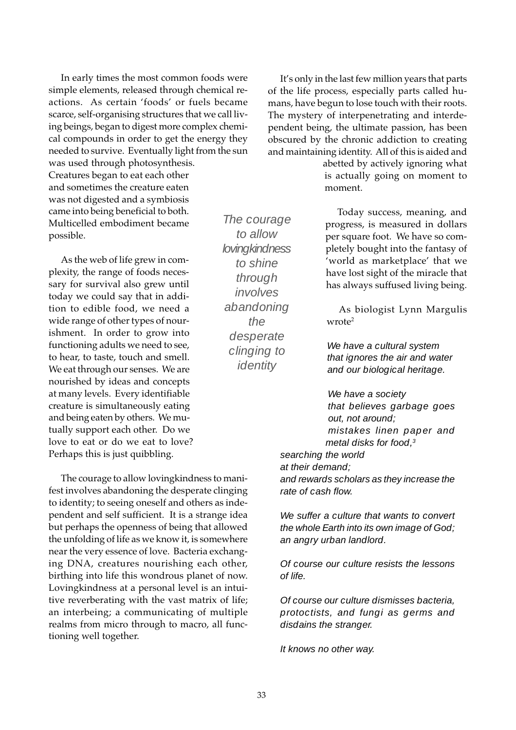In early times the most common foods were simple elements, released through chemical reactions. As certain 'foods' or fuels became scarce, self-organising structures that we call living beings, began to digest more complex chemical compounds in order to get the energy they needed to survive. Eventually light from the sun

was used through photosynthesis. Creatures began to eat each other and sometimes the creature eaten was not digested and a symbiosis came into being beneficial to both. Multicelled embodiment became possible.

As the web of life grew in complexity, the range of foods necessary for survival also grew until today we could say that in addition to edible food, we need a wide range of other types of nourishment. In order to grow into functioning adults we need to see, to hear, to taste, touch and smell. We eat through our senses. We are nourished by ideas and concepts at many levels. Every identifiable creature is simultaneously eating and being eaten by others. We mutually support each other. Do we love to eat or do we eat to love? Perhaps this is just quibbling.

The courage to allow lovingkindness to manifest involves abandoning the desperate clinging to identity; to seeing oneself and others as independent and self sufficient. It is a strange idea but perhaps the openness of being that allowed the unfolding of life as we know it, is somewhere near the very essence of love. Bacteria exchanging DNA, creatures nourishing each other, birthing into life this wondrous planet of now. Lovingkindness at a personal level is an intuitive reverberating with the vast matrix of life; an interbeing; a communicating of multiple realms from micro through to macro, all functioning well together.

It's only in the last few million years that parts of the life process, especially parts called humans, have begun to lose touch with their roots. The mystery of interpenetrating and interdependent being, the ultimate passion, has been obscured by the chronic addiction to creating and maintaining identity. All of this is aided and

> abetted by actively ignoring what is actually going on moment to moment.

Today success, meaning, and progress, is measured in dollars per square foot. We have so completely bought into the fantasy of 'world as marketplace' that we have lost sight of the miracle that has always suffused living being.

As biologist Lynn Margulis  $wrote<sup>2</sup>$ 

*We have a cultural system that ignores the air and water and our biological heritage.*

*We have a society that believes garbage goes out, not around; mistakes linen paper and metal disks for food,3 searching the world at their demand; and rewards scholars as they increase the*

*We suffer a culture that wants to convert the whole Earth into its own image of God; an angry urban landlord.*

*Of course our culture resists the lessons of life.*

*Of course our culture dismisses bacteria, protoctists, and fungi as germs and disdains the stranger.*

*It knows no other way.*

*rate of cash flow.*

*The courage to allow lovingkindness to shine through involves abandoning the desperate clinging to identity*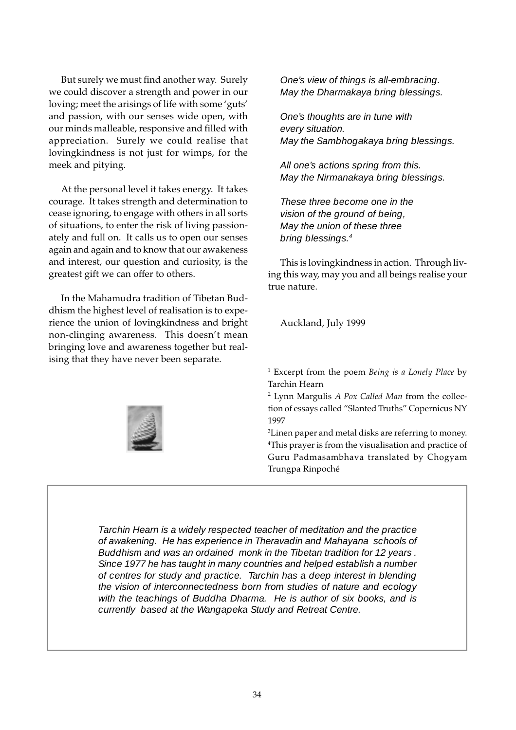But surely we must find another way. Surely we could discover a strength and power in our loving; meet the arisings of life with some 'guts' and passion, with our senses wide open, with our minds malleable, responsive and filled with appreciation. Surely we could realise that lovingkindness is not just for wimps, for the meek and pitying.

At the personal level it takes energy. It takes courage. It takes strength and determination to cease ignoring, to engage with others in all sorts of situations, to enter the risk of living passionately and full on. It calls us to open our senses again and again and to know that our awakeness and interest, our question and curiosity, is the greatest gift we can offer to others.

In the Mahamudra tradition of Tibetan Buddhism the highest level of realisation is to experience the union of lovingkindness and bright non-clinging awareness. This doesn't mean bringing love and awareness together but realising that they have never been separate.



*One's view of things is all-embracing. May the Dharmakaya bring blessings.*

*One's thoughts are in tune with every situation. May the Sambhogakaya bring blessings.*

*All one's actions spring from this. May the Nirmanakaya bring blessings.*

*These three become one in the vision of the ground of being, May the union of these three bring blessings.4*

This is lovingkindness in action. Through living this way, may you and all beings realise your true nature.

Auckland, July 1999

<sup>1</sup> Excerpt from the poem *Being is a Lonely Place* by Tarchin Hearn

<sup>2</sup> Lynn Margulis *A Pox Called Man* from the collection of essays called "Slanted Truths" Copernicus NY 1997

 $^3$ Linen paper and metal disks are referring to money. 4 This prayer is from the visualisation and practice of Guru Padmasambhava translated by Chogyam Trungpa Rinpoché

*Tarchin Hearn is a widely respected teacher of meditation and the practice of awakening. He has experience in Theravadin and Mahayana schools of Buddhism and was an ordained monk in the Tibetan tradition for 12 years . Since 1977 he has taught in many countries and helped establish a number of centres for study and practice. Tarchin has a deep interest in blending the vision of interconnectedness born from studies of nature and ecology with the teachings of Buddha Dharma. He is author of six books, and is currently based at the Wangapeka Study and Retreat Centre.*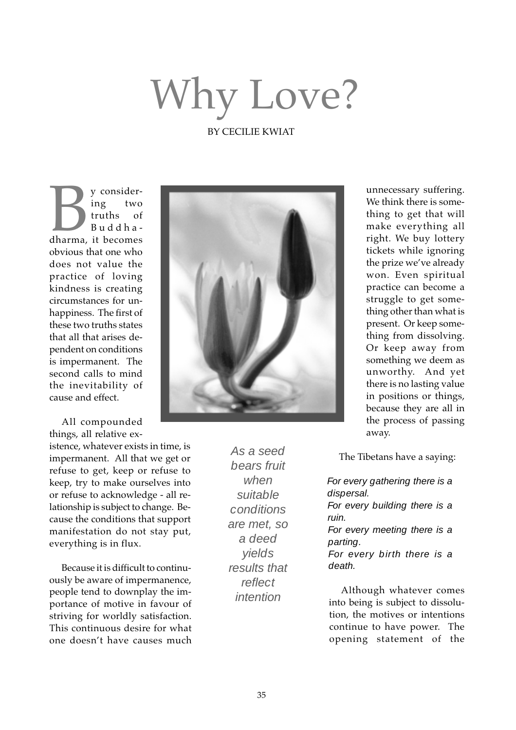## Why Love? BY CECILIE KWIAT

By consider-<br>
ing two<br>
truths of<br>
Buddha-<br>
dharma, it becomes ing two truths of Buddhaobvious that one who does not value the practice of loving kindness is creating circumstances for unhappiness. The first of these two truths states that all that arises dependent on conditions is impermanent. The second calls to mind the inevitability of cause and effect.

#### All compounded things, all relative ex-

istence, whatever exists in time, is impermanent. All that we get or refuse to get, keep or refuse to keep, try to make ourselves into or refuse to acknowledge - all relationship is subject to change. Because the conditions that support manifestation do not stay put, everything is in flux.

Because it is difficult to continuously be aware of impermanence, people tend to downplay the importance of motive in favour of striving for worldly satisfaction. This continuous desire for what one doesn't have causes much



*As a seed bears fruit when suitable conditions are met, so a deed yields results that reflect intention*

unnecessary suffering. We think there is something to get that will make everything all right. We buy lottery tickets while ignoring the prize we've already won. Even spiritual practice can become a struggle to get something other than what is present. Or keep something from dissolving. Or keep away from something we deem as unworthy. And yet there is no lasting value in positions or things, because they are all in the process of passing away.

The Tibetans have a saying:

*For every gathering there is a dispersal. For every building there is a ruin. For every meeting there is a parting. For every birth there is a death.*

Although whatever comes into being is subject to dissolution, the motives or intentions continue to have power. The opening statement of the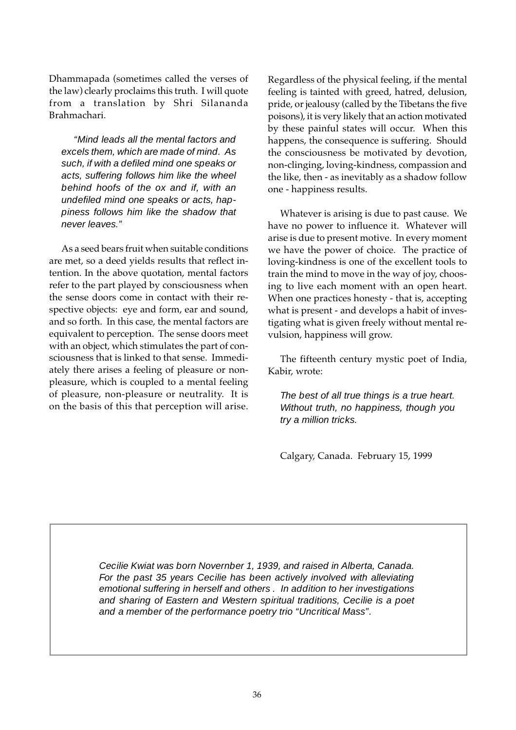Dhammapada (sometimes called the verses of the law) clearly proclaims this truth. I will quote from a translation by Shri Silananda Brahmachari.

*"Mind leads all the mental factors and excels them, which are made of mind. As such, if with a defiled mind one speaks or acts, suffering follows him like the wheel behind hoofs of the ox and if, with an undefiled mind one speaks or acts, happiness follows him like the shadow that never leaves."*

As a seed bears fruit when suitable conditions are met, so a deed yields results that reflect intention. In the above quotation, mental factors refer to the part played by consciousness when the sense doors come in contact with their respective objects: eye and form, ear and sound, and so forth. In this case, the mental factors are equivalent to perception. The sense doors meet with an object, which stimulates the part of consciousness that is linked to that sense. Immediately there arises a feeling of pleasure or nonpleasure, which is coupled to a mental feeling of pleasure, non-pleasure or neutrality. It is on the basis of this that perception will arise.

Regardless of the physical feeling, if the mental feeling is tainted with greed, hatred, delusion, pride, or jealousy (called by the Tibetans the five poisons), it is very likely that an action motivated by these painful states will occur. When this happens, the consequence is suffering. Should the consciousness be motivated by devotion, non-clinging, loving-kindness, compassion and the like, then - as inevitably as a shadow follow one - happiness results.

Whatever is arising is due to past cause. We have no power to influence it. Whatever will arise is due to present motive. In every moment we have the power of choice. The practice of loving-kindness is one of the excellent tools to train the mind to move in the way of joy, choosing to live each moment with an open heart. When one practices honesty - that is, accepting what is present - and develops a habit of investigating what is given freely without mental revulsion, happiness will grow.

The fifteenth century mystic poet of India, Kabir, wrote:

*The best of all true things is a true heart. Without truth, no happiness, though you try a million tricks.*

Calgary, Canada. February 15, 1999

*Cecilie Kwiat was born Novernber 1, 1939, and raised in Alberta, Canada. For the past 35 years Cecilie has been actively involved with alleviating emotional suffering in herself and others . In addition to her investigations and sharing of Eastern and Western spiritual traditions, Cecilie is a poet and a member of the performance poetry trio "Uncritical Mass".*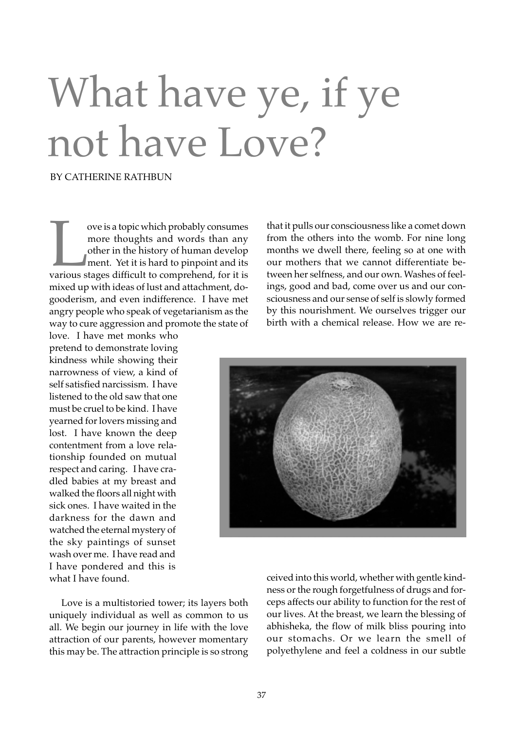# What have ye, if ye not have Love?

#### BY CATHERINE RATHBUN

ove is a topic which probably consumes<br>more thoughts and words than any<br>other in the history of human develop<br>ment. Yet it is hard to pinpoint and its<br>various stages difficult to comprehend, for it is more thoughts and words than any other in the history of human develop ment. Yet it is hard to pinpoint and its mixed up with ideas of lust and attachment, dogooderism' and even indifference. I have met angry people who speak of vegetarianism as the way to cure aggression and promote the state of

love. I have met monks who pretend to demonstrate loving kindness while showing their narrowness of view, a kind of self satisfied narcissism. I have listened to the old saw that one must be cruel to be kind. I have yearned for lovers missing and lost. I have known the deep contentment from a love relationship founded on mutual respect and caring. I have cradled babies at my breast and walked the floors all night with sick ones. I have waited in the darkness for the dawn and watched the eternal mystery of the sky paintings of sunset wash over me. I have read and I have pondered and this is what I have found.

Love is a multistoried tower; its layers both uniquely individual as well as common to us all. We begin our journey in life with the love attraction of our parents, however momentary this may be. The attraction principle is so strong that it pulls our consciousness like a comet down from the others into the womb. For nine long months we dwell there, feeling so at one with our mothers that we cannot differentiate between her selfness, and our own. Washes of feelings, good and bad, come over us and our consciousness and our sense of self is slowly formed by this nourishment. We ourselves trigger our birth with a chemical release. How we are re-



ceived into this world, whether with gentle kindness or the rough forgetfulness of drugs and forceps affects our ability to function for the rest of our lives. At the breast, we learn the blessing of abhisheka, the flow of milk bliss pouring into our stomachs. Or we learn the smell of polyethylene and feel a coldness in our subtle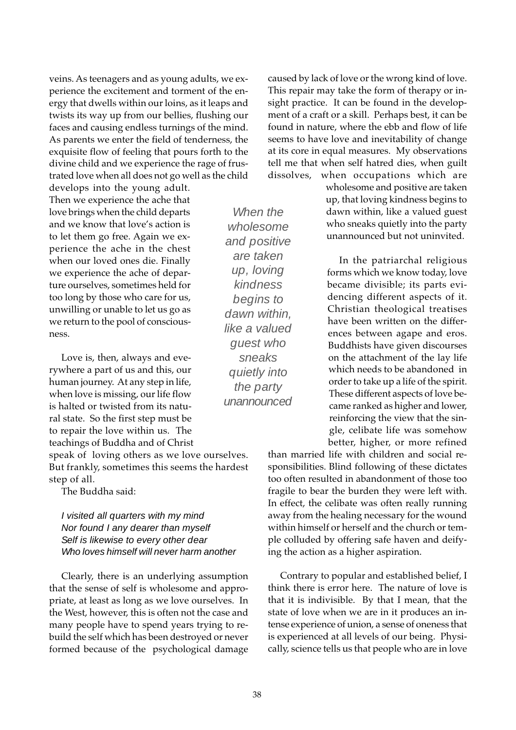veins. As teenagers and as young adults, we experience the excitement and torment of the energy that dwells within our loins, as it leaps and twists its way up from our bellies, flushing our faces and causing endless turnings of the mind. As parents we enter the field of tenderness, the exquisite flow of feeling that pours forth to the divine child and we experience the rage of frustrated love when all does not go well as the child

develops into the young adult. Then we experience the ache that love brings when the child departs and we know that love's action is to let them go free. Again we experience the ache in the chest when our loved ones die. Finally we experience the ache of departure ourselves, sometimes held for too long by those who care for us, unwilling or unable to let us go as we return to the pool of consciousness.

Love is, then, always and everywhere a part of us and this, our human journey. At any step in life, when love is missing, our life flow is halted or twisted from its natural state. So the first step must be to repair the love within us. The teachings of Buddha and of Christ

speak of loving others as we love ourselves. But frankly, sometimes this seems the hardest step of all.

The Buddha said:

*I visited all quarters with my mind Nor found I any dearer than myself Self is likewise to every other dear Who loves himself will never harm another*

Clearly, there is an underlying assumption that the sense of self is wholesome and appropriate, at least as long as we love ourselves. In the West, however, this is often not the case and many people have to spend years trying to rebuild the self which has been destroyed or never formed because of the psychological damage caused by lack of love or the wrong kind of love. This repair may take the form of therapy or insight practice. It can be found in the development of a craft or a skill. Perhaps best, it can be found in nature, where the ebb and flow of life seems to have love and inevitability of change at its core in equal measures. My observations tell me that when self hatred dies, when guilt dissolves, when occupations which are

wholesome and positive are taken up, that loving kindness begins to dawn within, like a valued guest who sneaks quietly into the party unannounced but not uninvited.

In the patriarchal religious forms which we know today, love became divisible; its parts evidencing different aspects of it. Christian theological treatises have been written on the differences between agape and eros. Buddhists have given discourses on the attachment of the lay life which needs to be abandoned in order to take up a life of the spirit. These different aspects of love became ranked as higher and lower, reinforcing the view that the single, celibate life was somehow better, higher, or more refined

than married life with children and social responsibilities. Blind following of these dictates too often resulted in abandonment of those too fragile to bear the burden they were left with. In effect, the celibate was often really running away from the healing necessary for the wound within himself or herself and the church or temple colluded by offering safe haven and deifying the action as a higher aspiration.

Contrary to popular and established belief, I think there is error here. The nature of love is that it is indivisible. By that I mean, that the state of love when we are in it produces an intense experience of union, a sense of oneness that is experienced at all levels of our being. Physically, science tells us that people who are in love

*When the wholesome and positive are taken up, loving kindness begins to dawn within, like a valued guest who sneaks quietly into the party unannounced*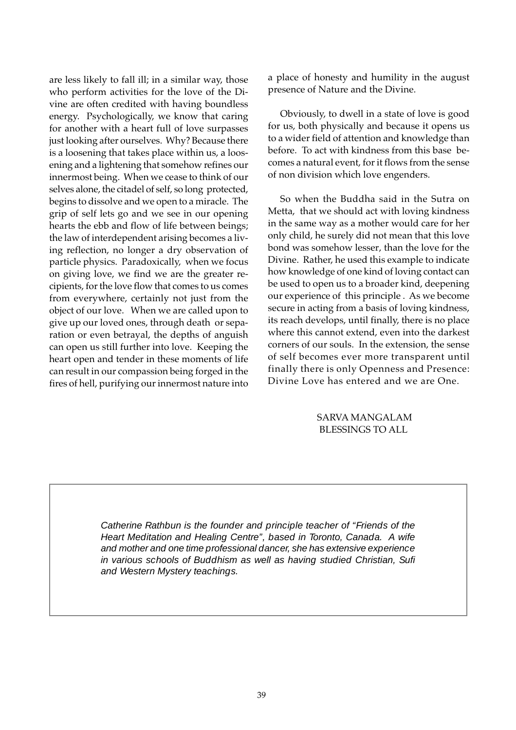are less likely to fall ill; in a similar way, those who perform activities for the love of the Divine are often credited with having boundless energy. Psychologically, we know that caring for another with a heart full of love surpasses just looking after ourselves. Why? Because there is a loosening that takes place within us, a loosening and a lightening that somehow refines our innermost being. When we cease to think of our selves alone, the citadel of self, so long protected, begins to dissolve and we open to a miracle. The grip of self lets go and we see in our opening hearts the ebb and flow of life between beings; the law of interdependent arising becomes a living reflection, no longer a dry observation of particle physics. Paradoxically, when we focus on giving love, we find we are the greater recipients, for the love flow that comes to us comes from everywhere, certainly not just from the object of our love. When we are called upon to give up our loved ones, through death or separation or even betrayal, the depths of anguish can open us still further into love. Keeping the heart open and tender in these moments of life can result in our compassion being forged in the fires of hell, purifying our innermost nature into a place of honesty and humility in the august presence of Nature and the Divine.

Obviously, to dwell in a state of love is good for us, both physically and because it opens us to a wider field of attention and knowledge than before. To act with kindness from this base becomes a natural event, for it flows from the sense of non division which love engenders.

So when the Buddha said in the Sutra on Metta, that we should act with loving kindness in the same way as a mother would care for her only child, he surely did not mean that this love bond was somehow lesser, than the love for the Divine. Rather, he used this example to indicate how knowledge of one kind of loving contact can be used to open us to a broader kind, deepening our experience of this principle . As we become secure in acting from a basis of loving kindness, its reach develops, until finally, there is no place where this cannot extend, even into the darkest corners of our souls. In the extension, the sense of self becomes ever more transparent until finally there is only Openness and Presence: Divine Love has entered and we are One.

> SARVA MANGALAM BLESSINGS TO ALL

*Catherine Rathbun is the founder and principle teacher of "Friends of the Heart Meditation and Healing Centre", based in Toronto, Canada. A wife and mother and one time professional dancer, she has extensive experience in various schools of Buddhism as well as having studied Christian, Sufi and Western Mystery teachings.*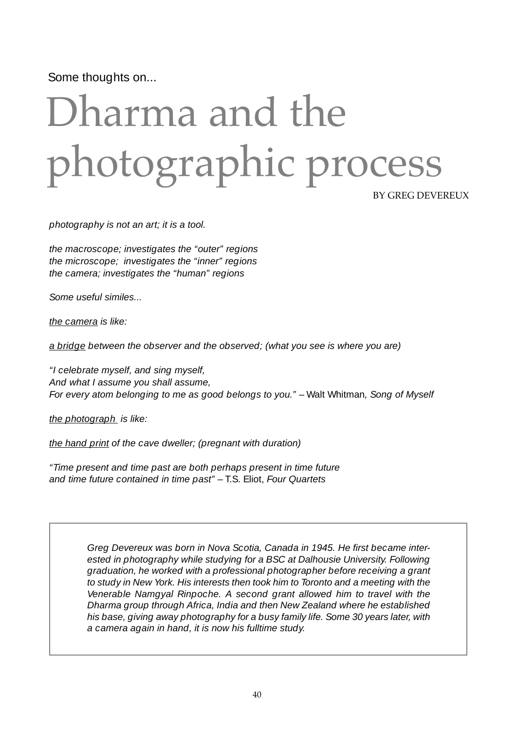Some thoughts on...

# Dharma and the photographic process

BY GREG DEVEREUX

*photography is not an art; it is a tool.*

*the macroscope; investigates the "outer" regions the microscope; investigates the "inner" regions the camera; investigates the "human" regions*

*Some useful similes...*

*the camera is like:*

*a bridge between the observer and the observed; (what you see is where you are)*

*"I celebrate myself, and sing myself, And what I assume you shall assume, For every atom belonging to me as good belongs to you." –* Walt Whitman*, Song of Myself*

*the photograph is like:*

*the hand print of the cave dweller; (pregnant with duration)*

*"Time present and time past are both perhaps present in time future and time future contained in time past" –* T.S. Eliot, *Four Quartets*

> *Greg Devereux was born in Nova Scotia, Canada in 1945. He first became interested in photography while studying for a BSC at Dalhousie University. Following graduation, he worked with a professional photographer before receiving a grant to study in New York. His interests then took him to Toronto and a meeting with the Venerable Namgyal Rinpoche. A second grant allowed him to travel with the Dharma group through Africa, India and then New Zealand where he established his base, giving away photography for a busy family life. Some 30 years later, with a camera again in hand, it is now his fulltime study.*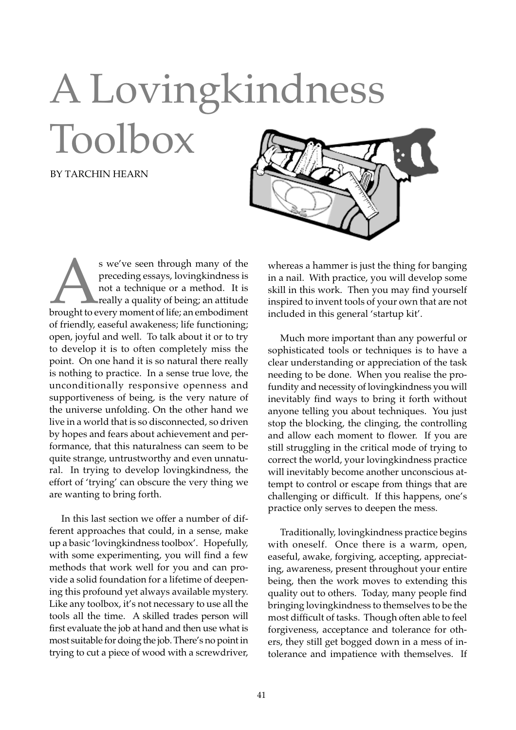## A Lovingkindness Toolbox BY TARCHIN HEARN

s we've seen through many of the<br>
preceding essays, lovingkindness is<br>
not a technique or a method. It is<br>
really a quality of being; an attitude<br>
brought to every moment of life; an embodiment preceding essays, lovingkindness is not a technique or a method. It is really a quality of being; an attitude of friendly, easeful awakeness; life functioning; open, joyful and well. To talk about it or to try to develop it is to often completely miss the point. On one hand it is so natural there really is nothing to practice. In a sense true love, the unconditionally responsive openness and supportiveness of being, is the very nature of the universe unfolding. On the other hand we live in a world that is so disconnected, so driven by hopes and fears about achievement and performance, that this naturalness can seem to be quite strange, untrustworthy and even unnatural. In trying to develop lovingkindness, the effort of 'trying' can obscure the very thing we are wanting to bring forth.

In this last section we offer a number of different approaches that could, in a sense, make up a basic 'lovingkindness toolbox'. Hopefully, with some experimenting, you will find a few methods that work well for you and can provide a solid foundation for a lifetime of deepening this profound yet always available mystery. Like any toolbox, it's not necessary to use all the tools all the time. A skilled trades person will first evaluate the job at hand and then use what is most suitable for doing the job. There's no point in trying to cut a piece of wood with a screwdriver,

whereas a hammer is just the thing for banging in a nail. With practice, you will develop some skill in this work. Then you may find yourself inspired to invent tools of your own that are not included in this general 'startup kit'.

Much more important than any powerful or sophisticated tools or techniques is to have a clear understanding or appreciation of the task needing to be done. When you realise the profundity and necessity of lovingkindness you will inevitably find ways to bring it forth without anyone telling you about techniques. You just stop the blocking, the clinging, the controlling and allow each moment to flower. If you are still struggling in the critical mode of trying to correct the world, your lovingkindness practice will inevitably become another unconscious attempt to control or escape from things that are challenging or difficult. If this happens, one's practice only serves to deepen the mess.

Traditionally, lovingkindness practice begins with oneself. Once there is a warm, open, easeful, awake, forgiving, accepting, appreciating, awareness, present throughout your entire being, then the work moves to extending this quality out to others. Today, many people find bringing lovingkindness to themselves to be the most difficult of tasks. Though often able to feel forgiveness, acceptance and tolerance for others, they still get bogged down in a mess of intolerance and impatience with themselves. If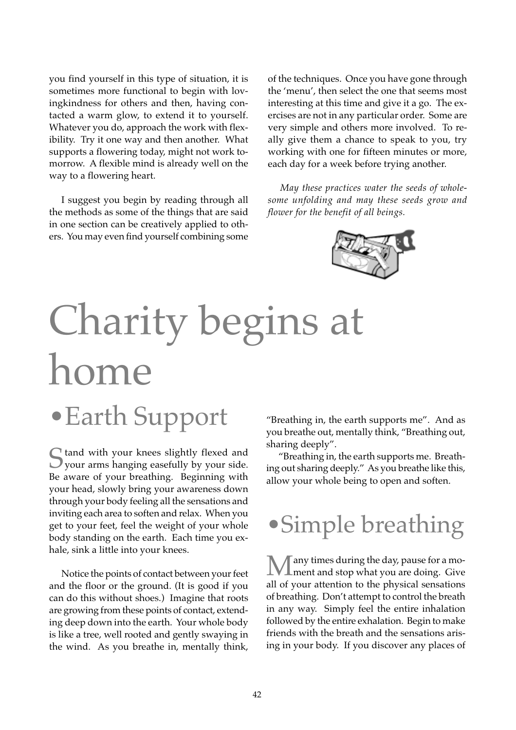you find yourself in this type of situation, it is sometimes more functional to begin with lovingkindness for others and then, having contacted a warm glow, to extend it to yourself. Whatever you do, approach the work with flexibility. Try it one way and then another. What supports a flowering today, might not work tomorrow. A flexible mind is already well on the way to a flowering heart.

I suggest you begin by reading through all the methods as some of the things that are said in one section can be creatively applied to others. You may even find yourself combining some of the techniques. Once you have gone through the 'menu', then select the one that seems most interesting at this time and give it a go. The exercises are not in any particular order. Some are very simple and others more involved. To really give them a chance to speak to you, try working with one for fifteen minutes or more, each day for a week before trying another.

*May these practices water the seeds of wholesome unfolding and may these seeds grow and flower for the benefit of all beings.*



# Charity begins at home

## •Earth Support

Stand with your knees slightly flexed and<br>Syour arms hanging easefully by your side. Be aware of your breathing. Beginning with your head, slowly bring your awareness down through your body feeling all the sensations and inviting each area to soften and relax. When you get to your feet, feel the weight of your whole body standing on the earth. Each time you exhale, sink a little into your knees.

Notice the points of contact between your feet and the floor or the ground. (It is good if you can do this without shoes.) Imagine that roots are growing from these points of contact, extending deep down into the earth. Your whole body is like a tree, well rooted and gently swaying in the wind. As you breathe in, mentally think,

"Breathing in, the earth supports me". And as you breathe out, mentally think, "Breathing out, sharing deeply".

"Breathing in, the earth supports me. Breathing out sharing deeply." As you breathe like this, allow your whole being to open and soften.

### •Simple breathing

**M** any times during the day, pause for a mo-<br>ment and stop what you are doing. Give all of your attention to the physical sensations of breathing. Don't attempt to control the breath in any way. Simply feel the entire inhalation followed by the entire exhalation. Begin to make friends with the breath and the sensations arising in your body. If you discover any places of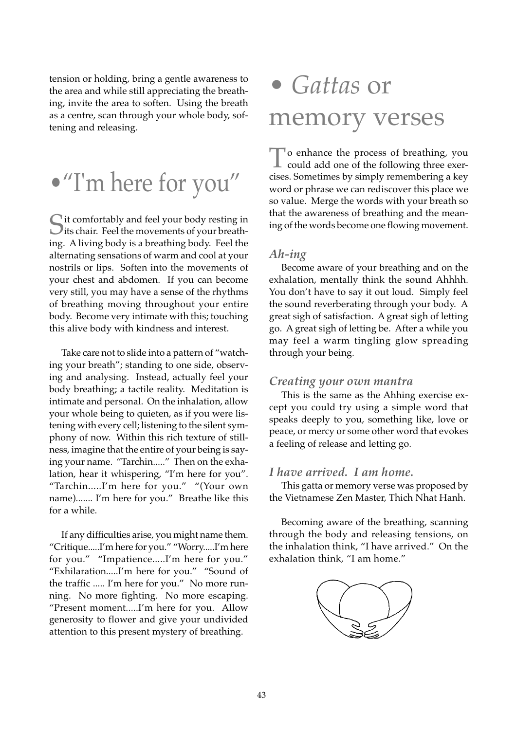tension or holding, bring a gentle awareness to the area and while still appreciating the breathing, invite the area to soften. Using the breath as a centre, scan through your whole body, softening and releasing.

•"I'm here for you"

 $\bigcap$  it comfortably and feel your body resting in  $J$  its chair. Feel the movements of your breathing. A living body is a breathing body. Feel the alternating sensations of warm and cool at your nostrils or lips. Soften into the movements of your chest and abdomen. If you can become very still, you may have a sense of the rhythms of breathing moving throughout your entire body. Become very intimate with this; touching this alive body with kindness and interest.

Take care not to slide into a pattern of "watching your breath"; standing to one side, observing and analysing. Instead, actually feel your body breathing; a tactile reality. Meditation is intimate and personal. On the inhalation, allow your whole being to quieten, as if you were listening with every cell; listening to the silent symphony of now. Within this rich texture of stillness, imagine that the entire of your being is saying your name. "Tarchin....." Then on the exhalation, hear it whispering, "I'm here for you". "Tarchin.....I'm here for you." "(Your own name)....... I'm here for you." Breathe like this for a while.

If any difficulties arise, you might name them. "Critique.....I'm here for you." "Worry.....I'm here for you." "Impatience.....I'm here for you." "Exhilaration.....I'm here for you." "Sound of the traffic ..... I'm here for you." No more running. No more fighting. No more escaping. "Present moment.....I'm here for you. Allow generosity to flower and give your undivided attention to this present mystery of breathing.

## • *Gattas* or memory verses

To enhance the process of breathing, you could add one of the following three exercises. Sometimes by simply remembering a key word or phrase we can rediscover this place we so value. Merge the words with your breath so that the awareness of breathing and the meaning of the words become one flowing movement.

#### *Ah-ing*

Become aware of your breathing and on the exhalation, mentally think the sound Ahhhh. You don't have to say it out loud. Simply feel the sound reverberating through your body. A great sigh of satisfaction. A great sigh of letting go. A great sigh of letting be. After a while you may feel a warm tingling glow spreading through your being.

#### *Creating your own mantra*

This is the same as the Ahhing exercise except you could try using a simple word that speaks deeply to you, something like, love or peace, or mercy or some other word that evokes a feeling of release and letting go.

#### *I have arrived. I am home.*

This gatta or memory verse was proposed by the Vietnamese Zen Master, Thich Nhat Hanh.

Becoming aware of the breathing, scanning through the body and releasing tensions, on the inhalation think, "I have arrived." On the exhalation think, "I am home."

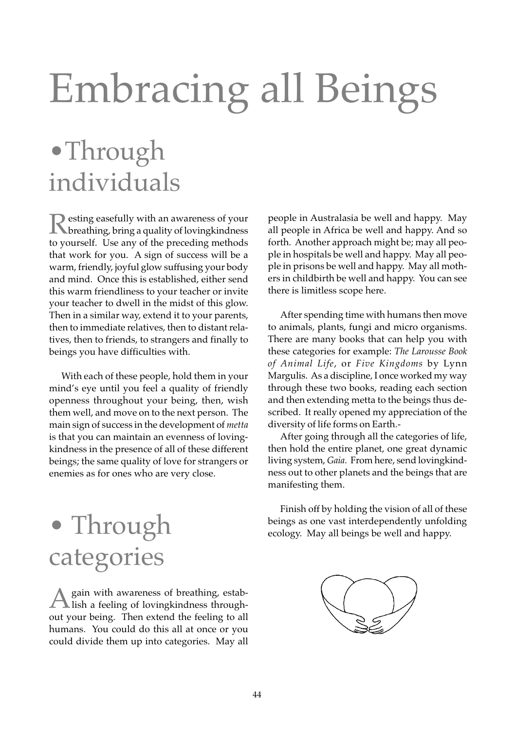# Embracing all Beings

## •Through individuals

**Resting easefully with an awareness of your**<br>breathing, bring a quality of lovingkindness to yourself. Use any of the preceding methods that work for you. A sign of success will be a warm, friendly, joyful glow suffusing your body and mind. Once this is established, either send this warm friendliness to your teacher or invite your teacher to dwell in the midst of this glow. Then in a similar way, extend it to your parents, then to immediate relatives, then to distant relatives, then to friends, to strangers and finally to beings you have difficulties with.

With each of these people, hold them in your mind's eye until you feel a quality of friendly openness throughout your being, then, wish them well, and move on to the next person. The main sign of success in the development of *metta* is that you can maintain an evenness of lovingkindness in the presence of all of these different beings; the same quality of love for strangers or enemies as for ones who are very close.

people in Australasia be well and happy. May all people in Africa be well and happy. And so forth. Another approach might be; may all people in hospitals be well and happy. May all people in prisons be well and happy. May all mothers in childbirth be well and happy. You can see there is limitless scope here.

After spending time with humans then move to animals, plants, fungi and micro organisms. There are many books that can help you with these categories for example: *The Larousse Book of Animal Life*, or *Five Kingdoms* by Lynn Margulis. As a discipline, I once worked my way through these two books, reading each section and then extending metta to the beings thus described. It really opened my appreciation of the diversity of life forms on Earth.-

After going through all the categories of life, then hold the entire planet, one great dynamic living system, *Gaia*. From here, send lovingkindness out to other planets and the beings that are manifesting them.

## • Through categories

A gain with awareness of breathing, estab-<br>lish a feeling of lovingkindness throughout your being. Then extend the feeling to all humans. You could do this all at once or you could divide them up into categories. May all

Finish off by holding the vision of all of these beings as one vast interdependently unfolding ecology. May all beings be well and happy.

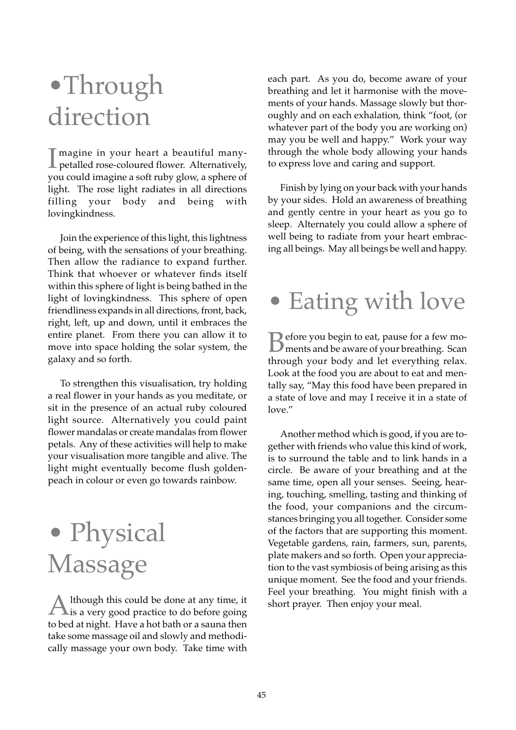## •Through direction

I magine in your heart a beautiful many-<br>petalled rose-coloured flower. Alternatively, petalled rose-coloured flower. Alternatively, you could imagine a soft ruby glow, a sphere of light. The rose light radiates in all directions filling your body and being with lovingkindness.

Join the experience of this light, this lightness of being, with the sensations of your breathing. Then allow the radiance to expand further. Think that whoever or whatever finds itself within this sphere of light is being bathed in the light of lovingkindness. This sphere of open friendliness expands in all directions, front, back, right, left, up and down, until it embraces the entire planet. From there you can allow it to move into space holding the solar system, the galaxy and so forth.

To strengthen this visualisation, try holding a real flower in your hands as you meditate, or sit in the presence of an actual ruby coloured light source. Alternatively you could paint flower mandalas or create mandalas from flower petals. Any of these activities will help to make your visualisation more tangible and alive. The light might eventually become flush goldenpeach in colour or even go towards rainbow.

## • Physical Massage

Although this could be done at any time, it<br>is a very good practice to do before going to bed at night. Have a hot bath or a sauna then take some massage oil and slowly and methodically massage your own body. Take time with each part. As you do, become aware of your breathing and let it harmonise with the movements of your hands. Massage slowly but thoroughly and on each exhalation, think "foot, (or whatever part of the body you are working on) may you be well and happy." Work your way through the whole body allowing your hands to express love and caring and support.

Finish by lying on your back with your hands by your sides. Hold an awareness of breathing and gently centre in your heart as you go to sleep. Alternately you could allow a sphere of well being to radiate from your heart embracing all beings. May all beings be well and happy.

## • Eating with love

**D** efore you begin to eat, pause for a few moments and be aware of your breathing. Scan through your body and let everything relax. Look at the food you are about to eat and mentally say, "May this food have been prepared in a state of love and may I receive it in a state of love."

Another method which is good, if you are together with friends who value this kind of work, is to surround the table and to link hands in a circle. Be aware of your breathing and at the same time, open all your senses. Seeing, hearing, touching, smelling, tasting and thinking of the food, your companions and the circumstances bringing you all together. Consider some of the factors that are supporting this moment. Vegetable gardens, rain, farmers, sun, parents, plate makers and so forth. Open your appreciation to the vast symbiosis of being arising as this unique moment. See the food and your friends. Feel your breathing. You might finish with a short prayer. Then enjoy your meal.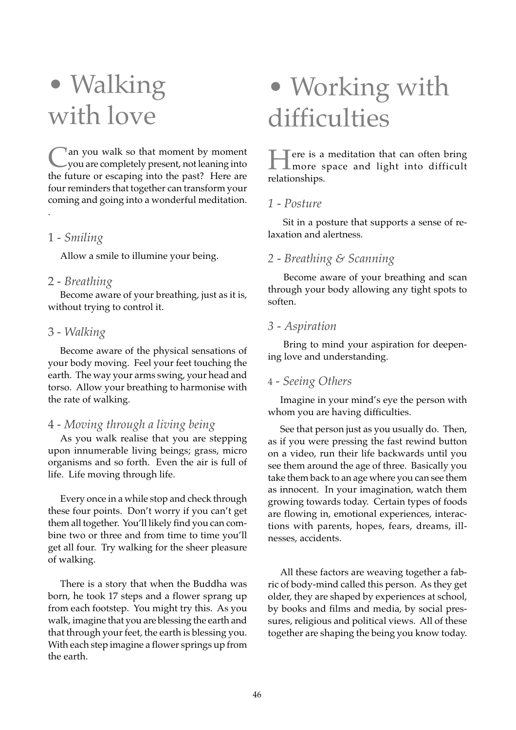## • Walking with love

Tan you walk so that moment by moment you are completely present, not leaning into the future or escaping into the past? Here are four reminders that together can transform your coming and going into a wonderful meditation.

#### 1 - *Smiling*

.

Allow a smile to illumine your being.

#### 2 - *Breathing*

Become aware of your breathing, just as it is, without trying to control it.

#### 3 - *Walking*

Become aware of the physical sensations of your body moving. Feel your feet touching the earth. The way your arms swing, your head and torso. Allow your breathing to harmonise with the rate of walking.

#### 4 - *Moving through a living being*

As you walk realise that you are stepping upon innumerable living beings; grass, micro organisms and so forth. Even the air is full of life. Life moving through life.

Every once in a while stop and check through these four points. Don't worry if you can't get them all together. You'll likely find you can combine two or three and from time to time you'll get all four. Try walking for the sheer pleasure of walking.

There is a story that when the Buddha was born, he took 17 steps and a flower sprang up from each footstep. You might try this. As you walk, imagine that you are blessing the earth and that through your feet, the earth is blessing you. With each step imagine a flower springs up from the earth.

## • Working with difficulties

**Here** is a meditation that can often bring<br>more space and light into difficult relationships.

#### *1 - Posture*

Sit in a posture that supports a sense of relaxation and alertness.

#### *2 - Breathing & Scanning*

Become aware of your breathing and scan through your body allowing any tight spots to soften.

#### *3 - Aspiration*

Bring to mind your aspiration for deepening love and understanding.

#### 4 *- Seeing Others*

Imagine in your mind's eye the person with whom you are having difficulties.

See that person just as you usually do. Then, as if you were pressing the fast rewind button on a video, run their life backwards until you see them around the age of three. Basically you take them back to an age where you can see them as innocent. In your imagination, watch them growing towards today. Certain types of foods are flowing in, emotional experiences, interactions with parents, hopes, fears, dreams, illnesses, accidents.

All these factors are weaving together a fabric of body-mind called this person. As they get older, they are shaped by experiences at school, by books and films and media, by social pressures, religious and political views. All of these together are shaping the being you know today.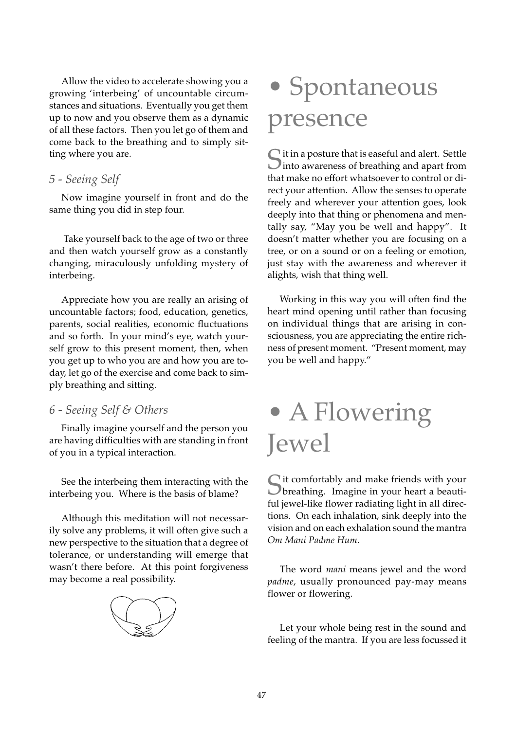Allow the video to accelerate showing you a growing 'interbeing' of uncountable circumstances and situations. Eventually you get them up to now and you observe them as a dynamic of all these factors. Then you let go of them and come back to the breathing and to simply sitting where you are.

#### *5 - Seeing Self*

Now imagine yourself in front and do the same thing you did in step four.

Take yourself back to the age of two or three and then watch yourself grow as a constantly changing, miraculously unfolding mystery of interbeing.

Appreciate how you are really an arising of uncountable factors; food, education, genetics, parents, social realities, economic fluctuations and so forth. In your mind's eye, watch yourself grow to this present moment, then, when you get up to who you are and how you are today, let go of the exercise and come back to simply breathing and sitting.

#### *6 - Seeing Self & Others*

Finally imagine yourself and the person you are having difficulties with are standing in front of you in a typical interaction.

See the interbeing them interacting with the interbeing you. Where is the basis of blame?

Although this meditation will not necessarily solve any problems, it will often give such a new perspective to the situation that a degree of tolerance, or understanding will emerge that wasn't there before. At this point forgiveness may become a real possibility.



## • Spontaneous presence

Sit in a posture that is easeful and alert. Settle into awareness of breathing and apart from that make no effort whatsoever to control or direct your attention. Allow the senses to operate freely and wherever your attention goes, look deeply into that thing or phenomena and mentally say, "May you be well and happy". It doesn't matter whether you are focusing on a tree, or on a sound or on a feeling or emotion, just stay with the awareness and wherever it alights, wish that thing well.

Working in this way you will often find the heart mind opening until rather than focusing on individual things that are arising in consciousness, you are appreciating the entire richness of present moment. "Present moment, may you be well and happy."

## • A Flowering **Jewel**

 $\bigcap$  it comfortably and make friends with your breathing. Imagine in your heart a beautiful jewel-like flower radiating light in all directions. On each inhalation, sink deeply into the vision and on each exhalation sound the mantra *Om Mani Padme Hum.*

The word *mani* means jewel and the word *padme*, usually pronounced pay-may means flower or flowering.

Let your whole being rest in the sound and feeling of the mantra. If you are less focussed it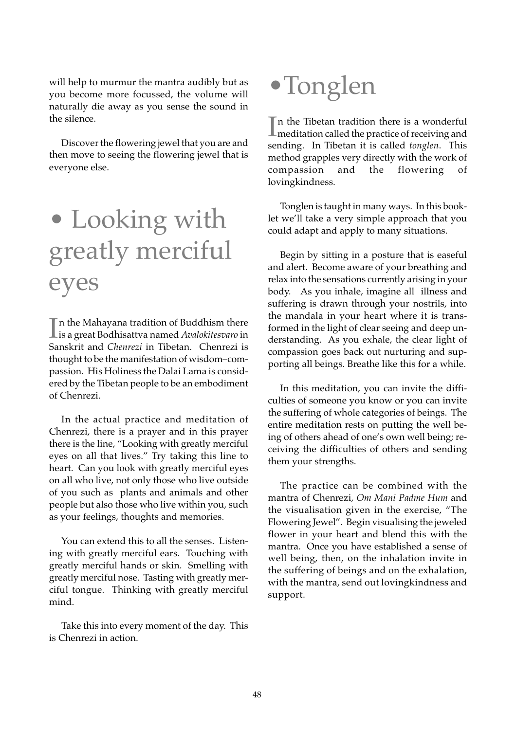will help to murmur the mantra audibly but as you become more focussed, the volume will naturally die away as you sense the sound in the silence.

Discover the flowering jewel that you are and then move to seeing the flowering jewel that is everyone else.

## • Looking with greatly merciful eyes

In the Mahayana tradition of Buddhism there<br>is a great Bodhisattva named *Avalokitesvaro* in n the Mahayana tradition of Buddhism there Sanskrit and *Chenrezi* in Tibetan. Chenrezi is thought to be the manifestation of wisdom–compassion. His Holiness the Dalai Lama is considered by the Tibetan people to be an embodiment of Chenrezi.

In the actual practice and meditation of Chenrezi, there is a prayer and in this prayer there is the line, "Looking with greatly merciful eyes on all that lives." Try taking this line to heart. Can you look with greatly merciful eyes on all who live, not only those who live outside of you such as plants and animals and other people but also those who live within you, such as your feelings, thoughts and memories.

You can extend this to all the senses. Listening with greatly merciful ears. Touching with greatly merciful hands or skin. Smelling with greatly merciful nose. Tasting with greatly merciful tongue. Thinking with greatly merciful mind.

Take this into every moment of the day. This is Chenrezi in action.

## •Tonglen

In the Tibetan tradition there is a wonderful<br>
meditation called the practice of receiving and<br>
Figures 1. The contract of the state of Theory and  $\mathbb T$ n the Tibetan tradition there is a wonderful sending. In Tibetan it is called *tonglen*. This method grapples very directly with the work of compassion and the flowering of lovingkindness.

Tonglen is taught in many ways. In this booklet we'll take a very simple approach that you could adapt and apply to many situations.

Begin by sitting in a posture that is easeful and alert. Become aware of your breathing and relax into the sensations currently arising in your body. As you inhale, imagine all illness and suffering is drawn through your nostrils, into the mandala in your heart where it is transformed in the light of clear seeing and deep understanding. As you exhale, the clear light of compassion goes back out nurturing and supporting all beings. Breathe like this for a while.

In this meditation, you can invite the difficulties of someone you know or you can invite the suffering of whole categories of beings. The entire meditation rests on putting the well being of others ahead of one's own well being; receiving the difficulties of others and sending them your strengths.

The practice can be combined with the mantra of Chenrezi, *Om Mani Padme Hum* and the visualisation given in the exercise, "The Flowering Jewel". Begin visualising the jeweled flower in your heart and blend this with the mantra. Once you have established a sense of well being, then, on the inhalation invite in the suffering of beings and on the exhalation, with the mantra, send out lovingkindness and support.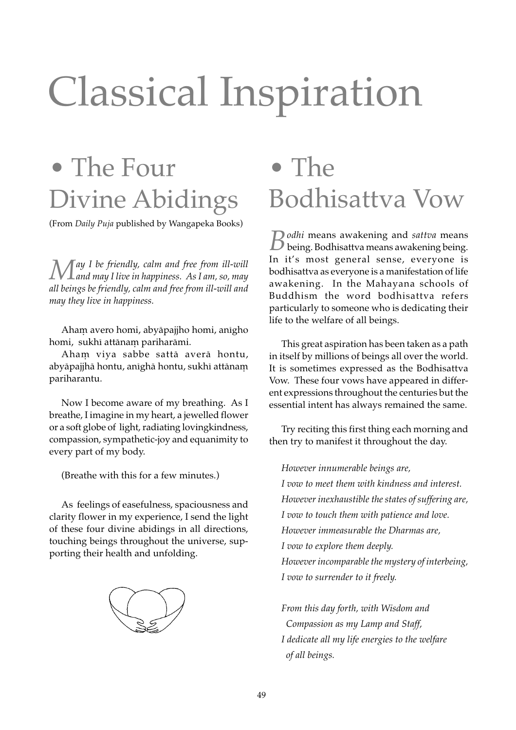# Classical Inspiration

## • The Four Divine Abidings

(From *Daily Puja* published by Wangapeka Books)

*May I be friendly, calm and free from ill-will and may I live in happiness. As I am, so, may all beings be friendly, calm and free from ill-will and may they live in happiness.*

Aham avero homi, abyāpajjho homi, anigho homi, sukhi attānam pariharāmi.

Aham viya sabbe sattā averā hontu, abyāpajjhā hontu, anīghā hontu, sukhī attānam pariharantu.

Now I become aware of my breathing. As I breathe, I imagine in my heart, a jewelled flower or a soft globe of light, radiating lovingkindness, compassion, sympathetic-joy and equanimity to every part of my body.

(Breathe with this for a few minutes.)

As feelings of easefulness, spaciousness and clarity flower in my experience, I send the light of these four divine abidings in all directions, touching beings throughout the universe, supporting their health and unfolding.



## • The Bodhisattva Vow

**B** *odhi* means awakening and *sattva* means<br>being. Bodhisattva means awakening being. In it's most general sense, everyone is bodhisattva as everyone is a manifestation of life awakening. In the Mahayana schools of Buddhism the word bodhisattva refers particularly to someone who is dedicating their life to the welfare of all beings.

This great aspiration has been taken as a path in itself by millions of beings all over the world. It is sometimes expressed as the Bodhisattva Vow. These four vows have appeared in different expressions throughout the centuries but the essential intent has always remained the same.

Try reciting this first thing each morning and then try to manifest it throughout the day.

*However innumerable beings are, I vow to meet them with kindness and interest. However inexhaustible the states of suffering are, I vow to touch them with patience and love. However immeasurable the Dharmas are, I vow to explore them deeply. However incomparable the mystery of interbeing, I vow to surrender to it freely.*

*From this day forth, with Wisdom and Compassion as my Lamp and Staff, I dedicate all my life energies to the welfare of all beings.*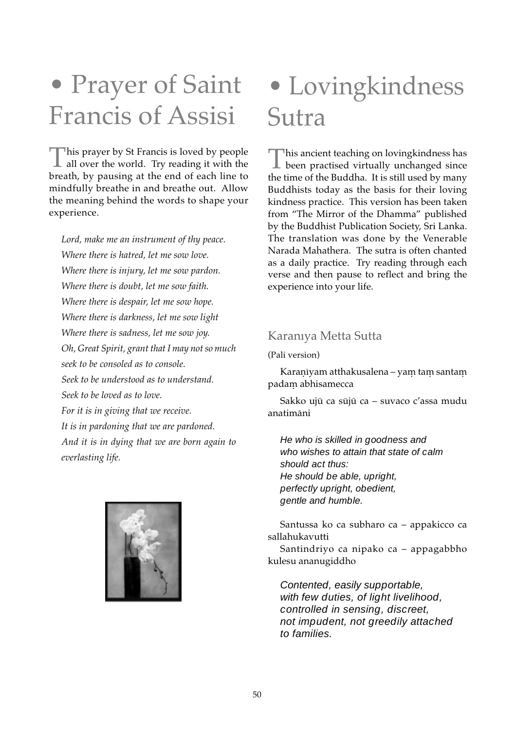# Francis of Assisi

This prayer by St Francis is loved by people<br>all over the world. Try reading it with the breath, by pausing at the end of each line to mindfully breathe in and breathe out. Allow the meaning behind the words to shape your experience.

*Lord, make me an instrument of thy peace. Where there is hatred, let me sow love. Where there is injury, let me sow pardon. Where there is doubt, let me sow faith. Where there is despair, let me sow hope. Where there is darkness, let me sow light Where there is sadness, let me sow joy. Oh, Great Spirit, grant that I may not so much seek to be consoled as to console. Seek to be understood as to understand. Seek to be loved as to love. For it is in giving that we receive. It is in pardoning that we are pardoned. And it is in dying that we are born again to everlasting life.*



## • Prayer of Saint • Lovingkindness Sutra

This ancient teaching on lovingkindness has<br>been practised virtually unchanged since the time of the Buddha. It is still used by many Buddhists today as the basis for their loving kindness practice. This version has been taken from "The Mirror of the Dhamma" published by the Buddhist Publication Society, Sri Lanka. The translation was done by the Venerable Narada Mahathera. The sutra is often chanted as a daily practice. Try reading through each verse and then pause to reflect and bring the experience into your life.

#### Karanıya Metta Sutta

(Pali version)

Karaṇiyam atthakusalena – yaṃ taṃ santaṃ padam abhisamecca

Sakko ujū ca sūjū ca – suvaco c'assa mudu anatimāni

*He who is skilled in goodness and who wishes to attain that state of calm should act thus: He should be able, upright, perfectly upright, obedient, gentle and humble.*

Santussa ko ca subharo ca – appakicco ca sallahukavutti

Santindriyo ca nipako ca – appagabbho kulesu ananugiddho

*Contented, easily supportable, with few duties, of light livelihood, controlled in sensing, discreet, not impudent, not greedily attached to families.*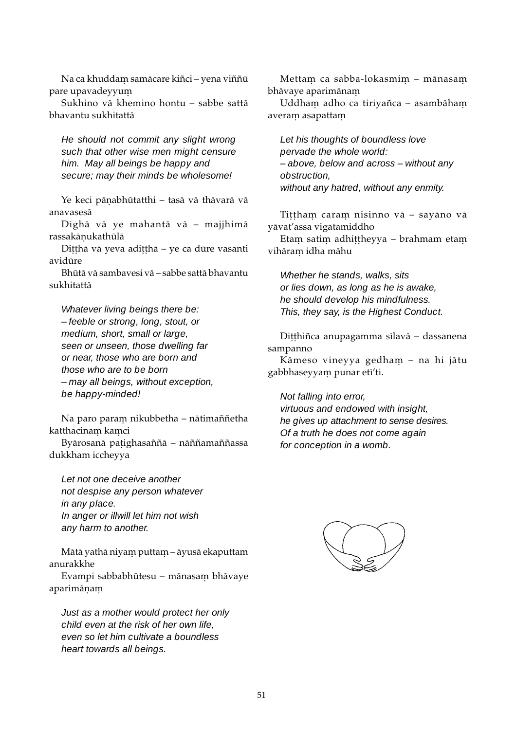Na ca khuddam samācare kiñci – yena viññū pare upavadeyyum

Sukhino vā khemino hontu - sabbe sattā bhavantu sukhitattā

*He should not commit any slight wrong such that other wise men might censure him. May all beings be happy and secure; may their minds be wholesome!*

Ye keci pānabhūtatthi – tasā vā thāvarā vā anavasesā

Dighā vā ye mahantā vā - majjhimā rassakānukathūlā

Ditthā vā yeva aditthā – ye ca dūre vasanti avidūre

 $Bh\bar{u}$ tā vā sambavesi vā – sabbe sattā bhavantu sukhitattā

*Whatever living beings there be: – feeble or strong, long, stout, or medium, short, small or large, seen or unseen, those dwelling far or near, those who are born and those who are to be born – may all beings, without exception, be happy-minded!*

Na paro param nikubbetha – nātimaññetha katthacinam kamci

Byārosanā paṭighasaññā – nāññamaññassa dukkham iccheyya

*Let not one deceive another not despise any person whatever in any place. In anger or illwill let him not wish any harm to another.*

Mātā yathā niyam puttam – āyusā ekaputtam anurakkhe

Evampi sabbabhūtesu – mānasam bhāvaye aparimānam

*Just as a mother would protect her only child even at the risk of her own life, even so let him cultivate a boundless heart towards all beings.*

Mettam ca sabba-lokasmim - mānasam bhāvaye aparimānam

Uddham adho ca tiriyañca – asambāham averam asapattam

*Let his thoughts of boundless love pervade the whole world: – above, below and across – without any obstruction, without any hatred, without any enmity.*

Tițțham caram nisinno vā - sayāno vā yāvat'assa vigatamiddho

Etam satim adhiṭṭheyya – brahmam etam vihāram idha māhu

*Whether he stands, walks, sits or lies down, as long as he is awake, he should develop his mindfulness. This, they say, is the Highest Conduct.*

Dițțhiñca anupagamma silavă - dassanena sampanno

Kāmeso vineyya gedham - na hi jātu gabbhaseyyam punar eti'ti.

*Not falling into error, virtuous and endowed with insight, he gives up attachment to sense desires. Of a truth he does not come again for conception in a womb.*